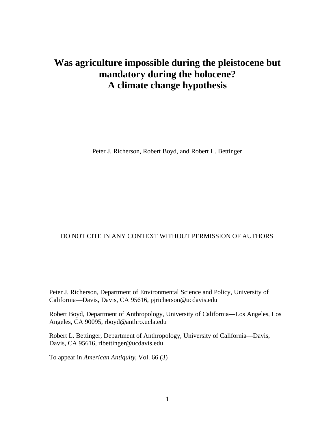# **Was agriculture impossible during the pleistocene but mandatory during the holocene? A climate change hypothesis**

Peter J. Richerson, Robert Boyd, and Robert L. Bettinger

# DO NOT CITE IN ANY CONTEXT WITHOUT PERMISSION OF AUTHORS

Peter J. Richerson, Department of Environmental Science and Policy, University of California—Davis, Davis, CA 95616, pjricherson@ucdavis.edu

Robert Boyd, Department of Anthropology, University of California—Los Angeles, Los Angeles, CA 90095, rboyd@anthro.ucla.edu

Robert L. Bettinger, Department of Anthropology, University of California—Davis, Davis, CA 95616, rlbettinger@ucdavis.edu

To appear in *American Antiquity*, Vol. 66 (3)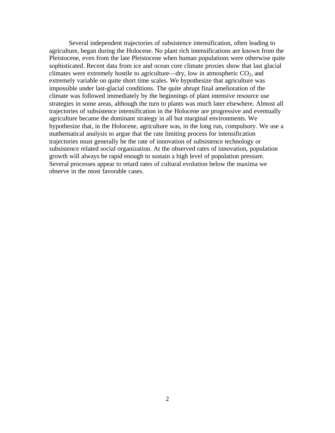Several independent trajectories of subsistence intensification, often leading to agriculture, began during the Holocene. No plant rich intensifications are known from the Pleistocene, even from the late Pleistocene when human populations were otherwise quite sophisticated. Recent data from ice and ocean core climate proxies show that last glacial climates were extremely hostile to agriculture—dry, low in atmospheric  $CO<sub>2</sub>$ , and extremely variable on quite short time scales. We hypothesize that agriculture was impossible under last-glacial conditions. The quite abrupt final amelioration of the climate was followed immediately by the beginnings of plant intensive resource use strategies in some areas, although the turn to plants was much later elsewhere. Almost all trajectories of subsistence intensification in the Holocene are progressive and eventually agriculture became the dominant strategy in all but marginal environments. We hypothesize that, in the Holocene, agriculture was, in the long run, compulsory. We use a mathematical analysis to argue that the rate limiting process for intensification trajectories must generally be the rate of innovation of subsistence technology or subsistence related social organization. At the observed rates of innovation, population growth will always be rapid enough to sustain a high level of population pressure. Several processes appear to retard rates of cultural evolution below the maxima we observe in the most favorable cases.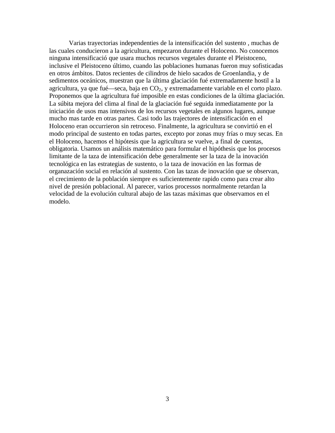Varias trayectorias independenties de la intensificación del sustento , muchas de las cuales conducieron a la agricultura, empezaron durante el Holoceno. No conocemos ninguna intensificació que usara muchos recursos vegetales durante el Pleistoceno, inclusive el Pleistoceno último, cuando las poblaciones humanas fueron muy sofisticadas en otros ámbitos. Datos recientes de cilindros de hielo sacados de Groenlandia, y de sedimentos oceánicos, muestran que la última glaciación fué extremadamente hostil a la agricultura, ya que fué—seca, baja en  $CO<sub>2</sub>$ , y extremadamente variable en el corto plazo. Proponemos que la agricultura fué imposible en estas condiciones de la última glaciación. La súbita mejora del clima al final de la glaciación fué seguida inmediatamente por la iniciación de usos mas intensivos de los recursos vegetales en algunos lugares, aunque mucho mas tarde en otras partes. Casi todo las trajectores de intensificación en el Holoceno eran occurrieron sin retroceso. Finalmente, la agricultura se convirtió en el modo principal de sustento en todas partes, excepto por zonas muy frías o muy secas. En el Holoceno, hacemos el hipótesis que la agricultura se vuelve, a final de cuentas, obligatoria. Usamos un análisis matemático para formular el hipóthesis que los procesos limitante de la taza de intensificación debe generalmente ser la taza de la inovación tecnológica en las estrategias de sustento, o la taza de inovación en las formas de organazación social en relación al sustento. Con las tazas de inovación que se observan, el crecimiento de la población siempre es suficientemente rapido como para crear alto nivel de presión poblacional. Al parecer, varios processos normalmente retardan la velocidad de la evolución cultural abajo de las tazas máximas que observamos en el modelo.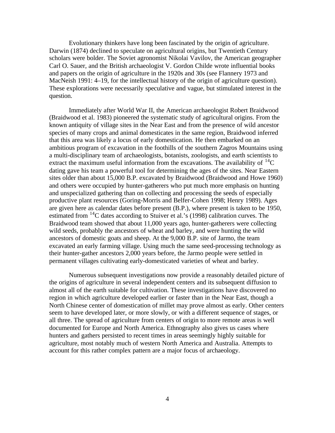Evolutionary thinkers have long been fascinated by the origin of agriculture. Darwin (1874) declined to speculate on agricultural origins, but Twentieth Century scholars were bolder. The Soviet agronomist Nikolai Vavilov, the American geographer Carl O. Sauer, and the British archaeologist V. Gordon Childe wrote influential books and papers on the origin of agriculture in the 1920s and 30s (see Flannery 1973 and MacNeish 1991: 4–19, for the intellectual history of the origin of agriculture question). These explorations were necessarily speculative and vague, but stimulated interest in the question.

Immediately after World War II, the American archaeologist Robert Braidwood (Braidwood et al. 1983) pioneered the systematic study of agricultural origins. From the known antiquity of village sites in the Near East and from the presence of wild ancestor species of many crops and animal domesticates in the same region, Braidwood inferred that this area was likely a locus of early domestication. He then embarked on an ambitious program of excavation in the foothills of the southern Zagros Mountains using a multi-disciplinary team of archaeologists, botanists, zoologists, and earth scientists to extract the maximum useful information from the excavations. The availability of  ${}^{14}C$ dating gave his team a powerful tool for determining the ages of the sites. Near Eastern sites older than about 15,000 B.P. excavated by Braidwood (Braidwood and Howe 1960) and others were occupied by hunter-gatherers who put much more emphasis on hunting and unspecialized gathering than on collecting and processing the seeds of especially productive plant resources (Goring-Morris and Belfer-Cohen 1998; Henry 1989). Ages are given here as calendar dates before present (B.P.), where present is taken to be 1950, estimated from  $^{14}$ C dates according to Stuiver et al.'s (1998) calibration curves. The Braidwood team showed that about 11,000 years ago, hunter-gatherers were collecting wild seeds, probably the ancestors of wheat and barley, and were hunting the wild ancestors of domestic goats and sheep. At the 9,000 B.P. site of Jarmo, the team excavated an early farming village. Using much the same seed-processing technology as their hunter-gather ancestors 2,000 years before, the Jarmo people were settled in permanent villages cultivating early-domesticated varieties of wheat and barley.

Numerous subsequent investigations now provide a reasonably detailed picture of the origins of agriculture in several independent centers and its subsequent diffusion to almost all of the earth suitable for cultivation. These investigations have discovered no region in which agriculture developed earlier or faster than in the Near East, though a North Chinese center of domestication of millet may prove almost as early. Other centers seem to have developed later, or more slowly, or with a different sequence of stages, or all three. The spread of agriculture from centers of origin to more remote areas is well documented for Europe and North America. Ethnography also gives us cases where hunters and gathers persisted to recent times in areas seemingly highly suitable for agriculture, most notably much of western North America and Australia. Attempts to account for this rather complex pattern are a major focus of archaeology.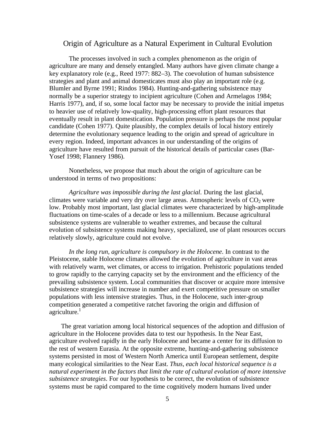# Origin of Agriculture as a Natural Experiment in Cultural Evolution

The processes involved in such a complex phenomenon as the origin of agriculture are many and densely entangled. Many authors have given climate change a key explanatory role (e.g., Reed 1977: 882–3). The coevolution of human subsistence strategies and plant and animal domesticates must also play an important role (e.g. Blumler and Byrne 1991; Rindos 1984). Hunting-and-gathering subsistence may normally be a superior strategy to incipient agriculture (Cohen and Armelagos 1984; Harris 1977), and, if so, some local factor may be necessary to provide the initial impetus to heavier use of relatively low-quality, high-processing effort plant resources that eventually result in plant domestication. Population pressure is perhaps the most popular candidate (Cohen 1977). Quite plausibly, the complex details of local history entirely determine the evolutionary sequence leading to the origin and spread of agriculture in every region. Indeed, important advances in our understanding of the origins of agriculture have resulted from pursuit of the historical details of particular cases (Bar-Yosef 1998; Flannery 1986).

Nonetheless, we propose that much about the origin of agriculture can be understood in terms of two propositions:

*Agriculture was impossible during the last glacial*. During the last glacial, climates were variable and very dry over large areas. Atmospheric levels of  $CO<sub>2</sub>$  were low. Probably most important, last glacial climates were characterized by high-amplitude fluctuations on time-scales of a decade or less to a millennium. Because agricultural subsistence systems are vulnerable to weather extremes, and because the cultural evolution of subsistence systems making heavy, specialized, use of plant resources occurs relatively slowly, agriculture could not evolve.

*In the long run, agriculture is compulsory in the Holocene*. In contrast to the Pleistocene, stable Holocene climates allowed the evolution of agriculture in vast areas with relatively warm, wet climates, or access to irrigation. Prehistoric populations tended to grow rapidly to the carrying capacity set by the environment and the efficiency of the prevailing subsistence system. Local communities that discover or acquire more intensive subsistence strategies will increase in number and exert competitive pressure on smaller populations with less intensive strategies. Thus, in the Holocene, such inter-group competition generated a competitive ratchet favoring the origin and diffusion of agriculture. $<sup>1</sup>$ </sup>

The great variation among local historical sequences of the adoption and diffusion of agriculture in the Holocene provides data to test our hypothesis. In the Near East, agriculture evolved rapidly in the early Holocene and became a center for its diffusion to the rest of western Eurasia. At the opposite extreme, hunting-and-gathering subsistence systems persisted in most of Western North America until European settlement, despite many ecological similarities to the Near East. *Thus, each local historical sequence is a natural experiment in the factors that limit the rate of cultural evolution of more intensive subsistence strategies*. For our hypothesis to be correct, the evolution of subsistence systems must be rapid compared to the time cognitively modern humans lived under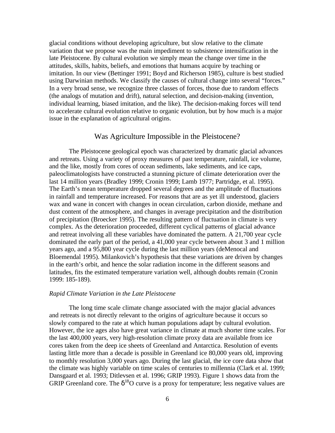glacial conditions without developing agriculture, but slow relative to the climate variation that we propose was the main impediment to subsistence intensification in the late Pleistocene. By cultural evolution we simply mean the change over time in the attitudes, skills, habits, beliefs, and emotions that humans acquire by teaching or imitation. In our view (Bettinger 1991; Boyd and Richerson 1985), culture is best studied using Darwinian methods. We classify the causes of cultural change into several "forces." In a very broad sense, we recognize three classes of forces, those due to random effects (the analogs of mutation and drift), natural selection, and decision-making (invention, individual learning, biased imitation, and the like). The decision-making forces will tend to accelerate cultural evolution relative to organic evolution, but by how much is a major issue in the explanation of agricultural origins.

# Was Agriculture Impossible in the Pleistocene?

The Pleistocene geological epoch was characterized by dramatic glacial advances and retreats. Using a variety of proxy measures of past temperature, rainfall, ice volume, and the like, mostly from cores of ocean sediments, lake sediments, and ice caps, paleoclimatologists have constructed a stunning picture of climate deterioration over the last 14 million years (Bradley 1999; Cronin 1999; Lamb 1977; Partridge, et al. 1995). The Earth's mean temperature dropped several degrees and the amplitude of fluctuations in rainfall and temperature increased. For reasons that are as yet ill understood, glaciers wax and wane in concert with changes in ocean circulation, carbon dioxide, methane and dust content of the atmosphere, and changes in average precipitation and the distribution of precipitation (Broecker 1995). The resulting pattern of fluctuation in climate is very complex. As the deterioration proceeded, different cyclical patterns of glacial advance and retreat involving all these variables have dominated the pattern. A 21,700 year cycle dominated the early part of the period, a 41,000 year cycle between about 3 and 1 million years ago, and a 95,800 year cycle during the last million years (deMenocal and Bloemendal 1995). Milankovich's hypothesis that these variations are driven by changes in the earth's orbit, and hence the solar radiation income in the different seasons and latitudes, fits the estimated temperature variation well, although doubts remain (Cronin 1999: 185-189).

# *Rapid Climate Variation in the Late Pleistocene*

The long time scale climate change associated with the major glacial advances and retreats is not directly relevant to the origins of agriculture because it occurs so slowly compared to the rate at which human populations adapt by cultural evolution. However, the ice ages also have great variance in climate at much shorter time scales. For the last 400,000 years, very high-resolution climate proxy data are available from ice cores taken from the deep ice sheets of Greenland and Antarctica. Resolution of events lasting little more than a decade is possible in Greenland ice 80,000 years old, improving to monthly resolution 3,000 years ago. During the last glacial, the ice core data show that the climate was highly variable on time scales of centuries to millennia (Clark et al. 1999; Dansgaard et al. 1993; Ditlevsen et al. 1996; GRIP 1993). Figure 1 shows data from the GRIP Greenland core. The  $\delta^{18}O$  curve is a proxy for temperature; less negative values are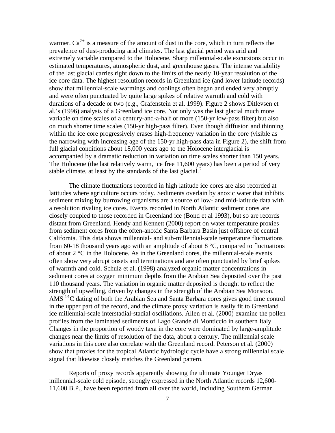warmer.  $Ca^{2+}$  is a measure of the amount of dust in the core, which in turn reflects the prevalence of dust-producing arid climates. The last glacial period was arid and extremely variable compared to the Holocene. Sharp millennial-scale excursions occur in estimated temperatures, atmospheric dust, and greenhouse gases. The intense variability of the last glacial carries right down to the limits of the nearly 10-year resolution of the ice core data. The highest resolution records in Greenland ice (and lower latitude records) show that millennial-scale warmings and coolings often began and ended very abruptly and were often punctuated by quite large spikes of relative warmth and cold with durations of a decade or two (e.g., Grafenstein et al. 1999). Figure 2 shows Ditlevsen et al.'s (1996) analysis of a Greenland ice core. Not only was the last glacial much more variable on time scales of a century-and-a-half or more (150-yr low-pass filter) but also on much shorter time scales (150-yr high-pass filter). Even though diffusion and thinning within the ice core progressively erases high-frequency variation in the core (visible as the narrowing with increasing age of the 150-yr high-pass data in Figure 2), the shift from full glacial conditions about 18,000 years ago to the Holocene interglacial is accompanied by a dramatic reduction in variation on time scales shorter than 150 years. The Holocene (the last relatively warm, ice free 11,600 years) has been a period of very stable climate, at least by the standards of the last glacial. $<sup>2</sup>$ </sup>

The climate fluctuations recorded in high latitude ice cores are also recorded at latitudes where agriculture occurs today. Sediments overlain by anoxic water that inhibits sediment mixing by burrowing organisms are a source of low- and mid-latitude data with a resolution rivaling ice cores. Events recorded in North Atlantic sediment cores are closely coupled to those recorded in Greenland ice (Bond et al 1993), but so are records distant from Greenland. Hendy and Kennett (2000) report on water temperature proxies from sediment cores from the often-anoxic Santa Barbara Basin just offshore of central California. This data shows millennial- and sub-millennial-scale temperature fluctuations from 60-18 thousand years ago with an amplitude of about 8 °C, compared to fluctuations of about  $2^{\circ}$ C in the Holocene. As in the Greenland cores, the millennial-scale events often show very abrupt onsets and terminations and are often punctuated by brief spikes of warmth and cold. Schulz et al. (1998) analyzed organic matter concentrations in sediment cores at oxygen minimum depths from the Arabian Sea deposited over the past 110 thousand years. The variation in organic matter deposited is thought to reflect the strength of upwelling, driven by changes in the strength of the Arabian Sea Monsoon. AMS  $^{14}$ C dating of both the Arabian Sea and Santa Barbara cores gives good time control in the upper part of the record, and the climate proxy variation is easily fit to Greenland ice millennial-scale interstadial-stadial oscillations. Allen et al. (2000) examine the pollen profiles from the laminated sediments of Lago Grande di Monticcio in southern Italy. Changes in the proportion of woody taxa in the core were dominated by large-amplitude changes near the limits of resolution of the data, about a century. The millennial scale variations in this core also correlate with the Greenland record. Peterson et al. (2000) show that proxies for the tropical Atlantic hydrologic cycle have a strong millennial scale signal that likewise closely matches the Greenland pattern.

Reports of proxy records apparently showing the ultimate Younger Dryas millennial-scale cold episode, strongly expressed in the North Atlantic records 12,600- 11,600 B.P., have been reported from all over the world, including Southern German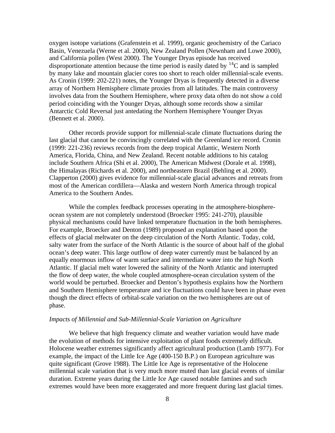oxygen isotope variations (Grafenstein et al. 1999), organic geochemistry of the Cariaco Basin, Venezuela (Werne et al. 2000), New Zealand Pollen (Newnham and Lowe 2000), and California pollen (West 2000). The Younger Dryas episode has received disproportionate attention because the time period is easily dated by  ${}^{14}C$  and is sampled by many lake and mountain glacier cores too short to reach older millennial-scale events. As Cronin (1999: 202-221) notes, the Younger Dryas is frequently detected in a diverse array of Northern Hemisphere climate proxies from all latitudes. The main controversy involves data from the Southern Hemisphere, where proxy data often do not show a cold period coinciding with the Younger Dryas, although some records show a similar Antarctic Cold Reversal just antedating the Northern Hemisphere Younger Dryas (Bennett et al. 2000).

Other records provide support for millennial-scale climate fluctuations during the last glacial that cannot be convincingly correlated with the Greenland ice record. Cronin (1999: 221-236) reviews records from the deep tropical Atlantic, Western North America, Florida, China, and New Zealand. Recent notable additions to his catalog include Southern Africa (Shi et al. 2000), The American Midwest (Dorale et al. 1998), the Himalayas (Richards et al. 2000), and northeastern Brazil (Behling et al. 2000). Clapperton (2000) gives evidence for millennial-scale glacial advances and retreats from most of the American cordillera—Alaska and western North America through tropical America to the Southern Andes.

While the complex feedback processes operating in the atmosphere-biosphereocean system are not completely understood (Broecker 1995: 241-270), plausible physical mechanisms could have linked temperature fluctuation in the both hemispheres. For example, Broecker and Denton (1989) proposed an explanation based upon the effects of glacial meltwater on the deep circulation of the North Atlantic. Today, cold, salty water from the surface of the North Atlantic is the source of about half of the global ocean's deep water. This large outflow of deep water currently must be balanced by an equally enormous inflow of warm surface and intermediate water into the high North Atlantic. If glacial melt water lowered the salinity of the North Atlantic and interrupted the flow of deep water, the whole coupled atmosphere-ocean circulation system of the world would be perturbed. Broecker and Denton's hypothesis explains how the Northern and Southern Hemisphere temperature and ice fluctuations could have been in phase even though the direct effects of orbital-scale variation on the two hemispheres are out of phase.

#### *Impacts of Millennial and Sub-Millennial-Scale Variation on Agriculture*

We believe that high frequency climate and weather variation would have made the evolution of methods for intensive exploitation of plant foods extremely difficult. Holocene weather extremes significantly affect agricultural production (Lamb 1977). For example, the impact of the Little Ice Age (400-150 B.P.) on European agriculture was quite significant (Grove 1988). The Little Ice Age is representative of the Holocene millennial scale variation that is very much more muted than last glacial events of similar duration. Extreme years during the Little Ice Age caused notable famines and such extremes would have been more exaggerated and more frequent during last glacial times.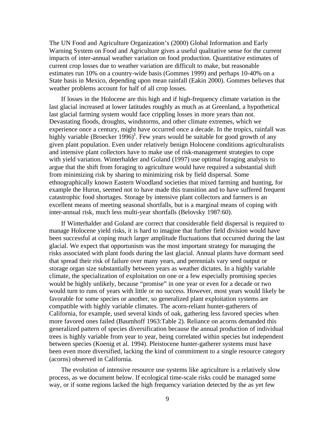The UN Food and Agriculture Organization's (2000) Global Information and Early Warning System on Food and Agriculture gives a useful qualitative sense for the current impacts of inter-annual weather variation on food production. Quantitative estimates of current crop losses due to weather variation are difficult to make, but reasonable estimates run 10% on a country-wide basis (Gommes 1999) and perhaps 10-40% on a State basis in Mexico, depending upon mean rainfall (Eakin 2000). Gommes believes that weather problems account for half of all crop losses.

If losses in the Holocene are this high and if high-frequency climate variation in the last glacial increased at lower latitudes roughly as much as at Greenland, a hypothetical last glacial farming system would face crippling losses in more years than not. Devastating floods, droughts, windstorms, and other climate extremes, which we experience once a century, might have occurred once a decade. In the tropics, rainfall was highly variable (Broecker 1996)<sup>3</sup>. Few years would be suitable for good growth of any given plant population. Even under relatively benign Holocene conditions agriculturalists and intensive plant collectors have to make use of risk-management strategies to cope with yield variation. Winterhalder and Goland (1997) use optimal foraging analysis to argue that the shift from foraging to agriculture would have required a substantial shift from minimizing risk by sharing to minimizing risk by field dispersal. Some ethnographically known Eastern Woodland societies that mixed farming and hunting, for example the Huron, seemed not to have made this transition and to have suffered frequent catastrophic food shortages. Storage by intensive plant collectors and farmers is an excellent means of meeting seasonal shortfalls, but is a marginal means of coping with inter-annual risk, much less multi-year shortfalls (Belovsky 1987:60).

If Winterhalder and Goland are correct that considerable field dispersal is required to manage Holocene yield risks, it is hard to imagine that further field division would have been successful at coping much larger amplitude fluctuations that occurred during the last glacial. We expect that opportunism was the most important strategy for managing the risks associated with plant foods during the last glacial. Annual plants have dormant seed that spread their risk of failure over many years, and perennials vary seed output or storage organ size substantially between years as weather dictates. In a highly variable climate, the specialization of exploitation on one or a few especially promising species would be highly unlikely, because "promise" in one year or even for a decade or two would turn to runs of years with little or no success. However, most years would likely be favorable for some species or another, so generalized plant exploitation systems are compatible with highly variable climates. The acorn-reliant hunter-gatherers of California, for example, used several kinds of oak, gathering less favored species when more favored ones failed (Baumhoff 1963:Table 2). Reliance on acorns demanded this generalized pattern of species diversification because the annual production of individual trees is highly variable from year to year, being correlated within species but independent between species (Koenig et al. 1994). Pleistocene hunter-gatherer systems must have been even more diversified, lacking the kind of commitment to a single resource category (acorns) observed in California.

The evolution of intensive resource use systems like agriculture is a relatively slow process, as we document below. If ecological time-scale risks could be managed some way, or if some regions lacked the high frequency variation detected by the as yet few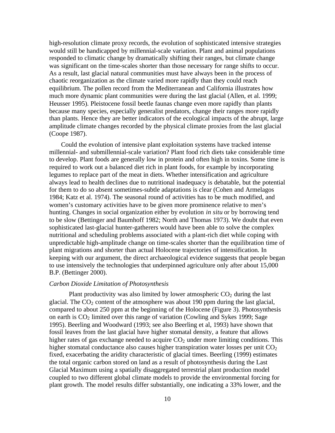high-resolution climate proxy records, the evolution of sophisticated intensive strategies would still be handicapped by millennial-scale variation. Plant and animal populations responded to climatic change by dramatically shifting their ranges, but climate change was significant on the time-scales shorter than those necessary for range shifts to occur. As a result, last glacial natural communities must have always been in the process of chaotic reorganization as the climate varied more rapidly than they could reach equilibrium. The pollen record from the Mediterranean and California illustrates how much more dynamic plant communities were during the last glacial (Allen, et al. 1999; Heusser 1995). Pleistocene fossil beetle faunas change even more rapidly than plants because many species, especially generalist predators, change their ranges more rapidly than plants. Hence they are better indicators of the ecological impacts of the abrupt, large amplitude climate changes recorded by the physical climate proxies from the last glacial (Coope 1987).

Could the evolution of intensive plant exploitation systems have tracked intense millennial- and submillennial-scale variation? Plant food rich diets take considerable time to develop. Plant foods are generally low in protein and often high in toxins. Some time is required to work out a balanced diet rich in plant foods, for example by incorporating legumes to replace part of the meat in diets. Whether intensification and agriculture always lead to health declines due to nutritional inadequacy is debatable, but the potential for them to do so absent sometimes-subtle adaptations is clear (Cohen and Armelagos 1984; Katz et al. 1974). The seasonal round of activities has to be much modified, and women's customary activities have to be given more prominence relative to men's hunting. Changes in social organization either by evolution *in situ* or by borrowing tend to be slow (Bettinger and Baumhoff 1982; North and Thomas 1973). We doubt that even sophisticated last-glacial hunter-gatherers would have been able to solve the complex nutritional and scheduling problems associated with a plant-rich diet while coping with unpredictable high-amplitude change on time-scales shorter than the equilibration time of plant migrations and shorter than actual Holocene trajectories of intensification. In keeping with our argument, the direct archaeological evidence suggests that people began to use intensively the technologies that underpinned agriculture only after about 15,000 B.P. (Bettinger 2000).

#### *Carbon Dioxide Limitation of Photosynthesis*

Plant productivity was also limited by lower atmospheric  $CO<sub>2</sub>$  during the last glacial. The  $CO<sub>2</sub>$  content of the atmosphere was about 190 ppm during the last glacial, compared to about 250 ppm at the beginning of the Holocene (Figure 3). Photosynthesis on earth is  $CO<sub>2</sub>$  limited over this range of variation (Cowling and Sykes 1999; Sage 1995). Beerling and Woodward (1993; see also Beerling et al, 1993) have shown that fossil leaves from the last glacial have higher stomatal density, a feature that allows higher rates of gas exchange needed to acquire  $CO<sub>2</sub>$  under more limiting conditions. This higher stomatal conductance also causes higher transpiration water losses per unit  $CO<sub>2</sub>$ fixed, exacerbating the aridity characteristic of glacial times. Beerling (1999) estimates the total organic carbon stored on land as a result of photosynthesis during the Last Glacial Maximum using a spatially disaggregated terrestrial plant production model coupled to two different global climate models to provide the environmental forcing for plant growth. The model results differ substantially, one indicating a 33% lower, and the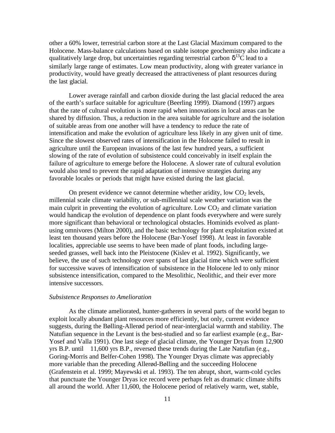other a 60% lower, terrestrial carbon store at the Last Glacial Maximum compared to the Holocene. Mass-balance calculations based on stable isotope geochemistry also indicate a qualitatively large drop, but uncertainties regarding terrestrial carbon  $\delta^{13}$ C lead to a similarly large range of estimates. Low mean productivity, along with greater variance in productivity, would have greatly decreased the attractiveness of plant resources during the last glacial.

Lower average rainfall and carbon dioxide during the last glacial reduced the area of the earth's surface suitable for agriculture (Beerling 1999). Diamond (1997) argues that the rate of cultural evolution is more rapid when innovations in local areas can be shared by diffusion. Thus, a reduction in the area suitable for agriculture and the isolation of suitable areas from one another will have a tendency to reduce the rate of intensification and make the evolution of agriculture less likely in any given unit of time. Since the slowest observed rates of intensification in the Holocene failed to result in agriculture until the European invasions of the last few hundred years, a sufficient slowing of the rate of evolution of subsistence could conceivably in itself explain the failure of agriculture to emerge before the Holocene. A slower rate of cultural evolution would also tend to prevent the rapid adaptation of intensive strategies during any favorable locales or periods that might have existed during the last glacial.

On present evidence we cannot determine whether aridity, low  $CO<sub>2</sub>$  levels, millennial scale climate variability, or sub-millennial scale weather variation was the main culprit in preventing the evolution of agriculture. Low  $CO<sub>2</sub>$  and climate variation would handicap the evolution of dependence on plant foods everywhere and were surely more significant than behavioral or technological obstacles. Hominids evolved as plantusing omnivores (Milton 2000), and the basic technology for plant exploitation existed at least ten thousand years before the Holocene (Bar-Yosef 1998). At least in favorable localities, appreciable use seems to have been made of plant foods, including largeseeded grasses, well back into the Pleistocene (Kislev et al. 1992). Significantly, we believe, the use of such technology over spans of last glacial time which were sufficient for successive waves of intensification of subsistence in the Holocene led to only minor subsistence intensification, compared to the Mesolithic, Neolithic, and their ever more intensive successors.

# *Subsistence Responses to Amelioration*

As the climate ameliorated, hunter-gatherers in several parts of the world began to exploit locally abundant plant resources more efficiently, but only, current evidence suggests, during the Bølling-Allerød period of near-interglacial warmth and stability. The Natufian sequence in the Levant is the best-studied and so far earliest example (e.g., Bar-Yosef and Valla 1991). One last siege of glacial climate, the Younger Dryas from 12,900 yrs B.P. until 11,600 yrs B.P., reversed these trends during the Late Natufian (e.g., Goring-Morris and Belfer-Cohen 1998). The Younger Dryas climate was appreciably more variable than the preceding Allerød-Bølling and the succeeding Holocene (Grafenstein et al. 1999; Mayewski et al. 1993). The ten abrupt, short, warm-cold cycles that punctuate the Younger Dryas ice record were perhaps felt as dramatic climate shifts all around the world. After 11,600, the Holocene period of relatively warm, wet, stable,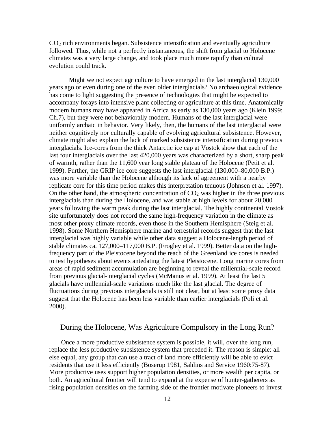$CO<sub>2</sub>$  rich environments began. Subsistence intensification and eventually agriculture followed. Thus, while not a perfectly instantaneous, the shift from glacial to Holocene climates was a very large change, and took place much more rapidly than cultural evolution could track.

Might we not expect agriculture to have emerged in the last interglacial 130,000 years ago or even during one of the even older interglacials? No archaeological evidence has come to light suggesting the presence of technologies that might be expected to accompany forays into intensive plant collecting or agriculture at this time. Anatomically modern humans may have appeared in Africa as early as 130,000 years ago (Klein 1999: Ch.7), but they were not behaviorally modern. Humans of the last interglacial were uniformly archaic in behavior. Very likely, then, the humans of the last interglacial were neither cognitively nor culturally capable of evolving agricultural subsistence. However, climate might also explain the lack of marked subsistence intensification during previous interglacials. Ice-cores from the thick Antarctic ice cap at Vostok show that each of the last four interglacials over the last 420,000 years was characterized by a short, sharp peak of warmth, rather than the 11,600 year long stable plateau of the Holocene (Petit et al. 1999). Further, the GRIP ice core suggests the last interglacial (130,000–80,000 B.P.) was more variable than the Holocene although its lack of agreement with a nearby replicate core for this time period makes this interpretation tenuous (Johnsen et al. 1997). On the other hand, the atmospheric concentration of  $CO<sub>2</sub>$  was higher in the three previous interglacials than during the Holocene, and was stable at high levels for about 20,000 years following the warm peak during the last interglacial. The highly continental Vostok site unfortunately does not record the same high-frequency variation in the climate as most other proxy climate records, even those in the Southern Hemisphere (Steig et al. 1998). Some Northern Hemisphere marine and terrestrial records suggest that the last interglacial was highly variable while other data suggest a Holocene-length period of stable climates ca. 127,000–117,000 B.P. (Frogley et al. 1999). Better data on the highfrequency part of the Pleistocene beyond the reach of the Greenland ice cores is needed to test hypotheses about events antedating the latest Pleistocene. Long marine cores from areas of rapid sediment accumulation are beginning to reveal the millennial-scale record from previous glacial-interglacial cycles (McManus et al. 1999). At least the last 5 glacials have millennial-scale variations much like the last glacial. The degree of fluctuations during previous interglacials is still not clear, but at least some proxy data suggest that the Holocene has been less variable than earlier interglacials (Poli et al. 2000).

# During the Holocene, Was Agriculture Compulsory in the Long Run?

Once a more productive subsistence system is possible, it will, over the long run, replace the less productive subsistence system that preceded it. The reason is simple: all else equal, any group that can use a tract of land more efficiently will be able to evict residents that use it less efficiently (Boserup 1981, Sahlins and Service 1960:75-87). More productive uses support higher population densities, or more wealth per capita, or both. An agricultural frontier will tend to expand at the expense of hunter-gatherers as rising population densities on the farming side of the frontier motivate pioneers to invest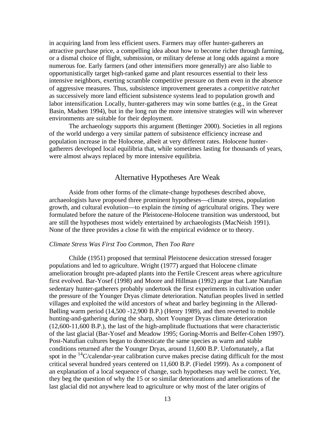in acquiring land from less efficient users. Farmers may offer hunter-gatherers an attractive purchase price, a compelling idea about how to become richer through farming, or a dismal choice of flight, submission, or military defense at long odds against a more numerous foe. Early farmers (and other intensifiers more generally) are also liable to opportunistically target high-ranked game and plant resources essential to their less intensive neighbors, exerting scramble competitive pressure on them even in the absence of aggressive measures. Thus, subsistence improvement generates a *competitive ratchet* as successively more land efficient subsistence systems lead to population growth and labor intensification*.* Locally, hunter-gatherers may win some battles (e.g., in the Great Basin, Madsen 1994), but in the long run the more intensive strategies will win wherever environments are suitable for their deployment.

The archaeology supports this argument (Bettinger 2000). Societies in all regions of the world undergo a very similar pattern of subsistence efficiency increase and population increase in the Holocene, albeit at very different rates. Holocene huntergatherers developed local equilibria that, while sometimes lasting for thousands of years, were almost always replaced by more intensive equilibria.

# Alternative Hypotheses Are Weak

Aside from other forms of the climate-change hypotheses described above, archaeologists have proposed three prominent hypotheses—climate stress, population growth, and cultural evolution—to explain the *timing* of agricultural origins. They were formulated before the nature of the Pleistocene-Holocene transition was understood, but are still the hypotheses most widely entertained by archaeologists (MacNeish 1991). None of the three provides a close fit with the empirical evidence or to theory.

# *Climate Stress Was First Too Common, Then Too Rare*

Childe (1951) proposed that terminal Pleistocene desiccation stressed forager populations and led to agriculture. Wright (1977) argued that Holocene climate amelioration brought pre-adapted plants into the Fertile Crescent areas where agriculture first evolved. Bar-Yosef (1998) and Moore and Hillman (1992) argue that Late Natufian sedentary hunter-gatherers probably undertook the first experiments in cultivation under the pressure of the Younger Dryas climate deterioration. Natufian peoples lived in settled villages and exploited the wild ancestors of wheat and barley beginning in the Allerød-Bølling warm period (14,500 -12,900 B.P.) (Henry 1989), and then reverted to mobile hunting-and-gathering during the sharp, short Younger Dryas climate deterioration (12,600-11,600 B.P.), the last of the high-amplitude fluctuations that were characteristic of the last glacial (Bar-Yosef and Meadow 1995; Goring-Morris and Belfer-Cohen 1997). Post-Natufian cultures began to domesticate the same species as warm and stable conditions returned after the Younger Dryas, around 11,600 B.P. Unfortunately, a flat spot in the  $^{14}$ C/calendar-year calibration curve makes precise dating difficult for the most critical several hundred years centered on 11,600 B.P. (Fiedel 1999). As a component of an explanation of a local sequence of change, such hypotheses may well be correct. Yet, they beg the question of why the 15 or so similar deteriorations and ameliorations of the last glacial did not anywhere lead to agriculture or why most of the later origins of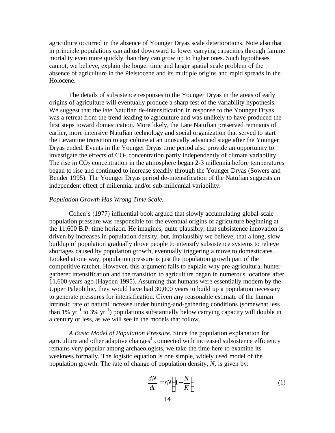agriculture occurred in the absence of Younger Dryas scale deteriorations. Note also that in principle populations can adjust downward to lower carrying capacities through famine mortality even more quickly than they can grow up to higher ones. Such hypotheses cannot, we believe, explain the longer time and larger spatial scale problem of the absence of agriculture in the Pleistocene and its multiple origins and rapid spreads in the Holocene.

The details of subsistence responses to the Younger Dryas in the areas of early origins of agriculture will eventually produce a sharp test of the variability hypothesis. We suggest that the late Natufian de-intensification in response to the Younger Dryas was a retreat from the trend leading to agriculture and was unlikely to have produced the first steps toward domestication. More likely, the Late Natufian preserved remnants of earlier, more intensive Natufian technology and social organization that served to start the Levantine transition to agriculture at an unusually advanced stage after the Younger Dryas ended. Events in the Younger Dryas time period also provide an opportunity to investigate the effects of  $CO<sub>2</sub>$  concentration partly independently of climate variability. The rise in  $CO<sub>2</sub>$  concentration in the atmosphere began 2-3 millennia before temperatures began to rise and continued to increase steadily through the Younger Dryas (Sowers and Bender 1995). The Younger Dryas period de-intensification of the Natufian suggests an independent effect of millennial and/or sub-millennial variability.

#### *Population Growth Has Wrong Time Scale.*

Cohen's (1977) influential book argued that slowly accumulating global-scale population pressure was responsible for the eventual origins of agriculture beginning at the 11,600 B.P. time horizon. He imagines, quite plausibly, that subsistence innovation is driven by increases in population density, but, implausibly we believe, that a long, slow buildup of population gradually drove people to intensify subsistence systems to relieve shortages caused by population growth, eventually triggering a move to domesticates. Looked at one way, population pressure is just the population growth part of the competitive ratchet. However, this argument fails to explain why pre-agricultural huntergatherer intensification and the transition to agriculture began in numerous locations after 11,600 years ago (Hayden 1995). Assuming that humans were essentially modern by the Upper Paleolithic, they would have had 30,000 years to build up a population necessary to generate pressures for intensification. Given any reasonable estimate of the human intrinsic rate of natural increase under hunting-and-gathering conditions (somewhat less than 1%  $yr^{-1}$  to 3%  $yr^{-1}$ ) populations substantially below carrying capacity will double in a century or less, as we will see in the models that follow.

*A Basic Model of Population Pressure.* Since the population explanation for agriculture and other adaptive changes<sup>4</sup> connected with increased subsistence efficiency remains very popular among archaeologists, we take the time here to examine its weakness formally. The logistic equation is one simple, widely used model of the population growth. The rate of change of population density, *N*, is given by:

$$
\frac{dN}{dt} = rN\left(1 - \frac{N}{K}\right) \tag{1}
$$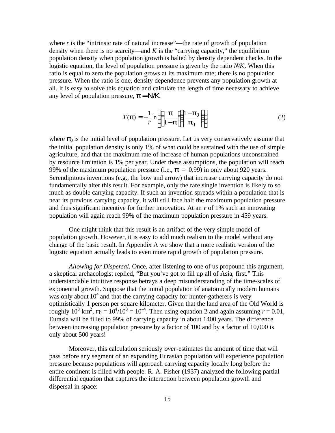where  $r$  is the "intrinsic rate of natural increase"—the rate of growth of population density when there is no scarcity—and  $K$  is the "carrying capacity," the equilibrium population density when population growth is halted by density dependent checks. In the logistic equation, the level of population pressure is given by the ratio *N/K*. When this ratio is equal to zero the population grows at its maximum rate; there is no population pressure. When the ratio is one, density dependence prevents any population growth at all. It is easy to solve this equation and calculate the length of time necessary to achieve any level of population pressure, *p = N/K*.

$$
T(\mathbf{p}) = -\frac{1}{r} \ln \left( \left( \frac{\mathbf{p}}{1 - \mathbf{p}} \right) \left( \frac{1 - \mathbf{p}_0}{\mathbf{p}_0} \right) \right)
$$
 (2)

where  $\mathbf{p}_0$  is the initial level of population pressure. Let us very conservatively assume that the initial population density is only 1% of what could be sustained with the use of simple agriculture, and that the maximum rate of increase of human populations unconstrained by resource limitation is 1% per year. Under these assumptions, the population will reach 99% of the maximum population pressure (i.e.,  $\mathbf{p} = 0.99$ ) in only about 920 years. Serendipitous inventions (e.g., the bow and arrow) that increase carrying capacity do not fundamentally alter this result. For example, only the rare single invention is likely to so much as double carrying capacity. If such an invention spreads within a population that is near its previous carrying capacity, it will still face half the maximum population pressure and thus significant incentive for further innovation. At an *r* of 1% such an innovating population will again reach 99% of the maximum population pressure in 459 years.

One might think that this result is an artifact of the very simple model of population growth. However, it is easy to add much realism to the model without any change of the basic result. In Appendix A we show that a more realistic version of the logistic equation actually leads to even more rapid growth of population pressure.

*Allowing for Dispersal.* Once, after listening to one of us propound this argument, a skeptical archaeologist replied, "But you've got to fill up all of Asia, first." This understandable intuitive response betrays a deep misunderstanding of the time-scales of exponential growth. Suppose that the initial population of anatomically modern humans was only about  $10<sup>4</sup>$  and that the carrying capacity for hunter-gatherers is very optimistically 1 person per square kilometer. Given that the land area of the Old World is roughly  $10^8$  km<sup>2</sup>,  $\boldsymbol{p}_0 = 10^4/10^8 = 10^{-4}$ . Then using equation 2 and again assuming  $r = 0.01$ , Eurasia will be filled to 99% of carrying capacity in about 1400 years. The difference between increasing population pressure by a factor of 100 and by a factor of 10,000 is only about 500 years!

Moreover, this calculation seriously *over*-estimates the amount of time that will pass before any segment of an expanding Eurasian population will experience population pressure because populations will approach carrying capacity locally long before the entire continent is filled with people. R. A. Fisher (1937) analyzed the following partial differential equation that captures the interaction between population growth and dispersal in space: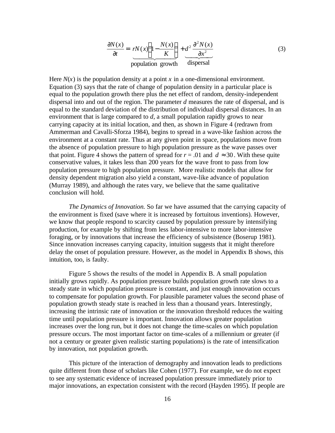$$
\frac{\partial N(x)}{\partial t} = rN(x)\left(1 - \frac{N(x)}{K}\right) + d^2 \frac{\partial^2 N(x)}{\partial x^2}
$$
\n(3)\npopulation growth dispersal

Here  $N(x)$  is the population density at a point x in a one-dimensional environment. Equation (3) says that the rate of change of population density in a particular place is equal to the population growth there plus the net effect of random, density-independent dispersal into and out of the region. The parameter *d* measures the rate of dispersal, and is equal to the standard deviation of the distribution of individual dispersal distances. In an environment that is large compared to *d,* a small population rapidly grows to near carrying capacity at its initial location, and then, as shown in Figure 4 (redrawn from Ammerman and Cavalli-Sforza 1984), begins to spread in a wave-like fashion across the environment at a constant rate. Thus at any given point in space, populations move from the absence of population pressure to high population pressure as the wave passes over that point. Figure 4 shows the pattern of spread for  $r = .01$  and  $d \approx 30$ . With these quite conservative values, it takes less than 200 years for the wave front to pass from low population pressure to high population pressure. More realistic models that allow for density dependent migration also yield a constant, wave-like advance of population (Murray 1989), and although the rates vary, we believe that the same qualitative conclusion will hold.

*The Dynamics of Innovation.* So far we have assumed that the carrying capacity of the environment is fixed (save where it is increased by fortuitous inventions). However, we know that people respond to scarcity caused by population pressure by intensifying production, for example by shifting from less labor-intensive to more labor-intensive foraging, or by innovations that increase the efficiency of subsistence (Boserup 1981). Since innovation increases carrying capacity, intuition suggests that it might therefore delay the onset of population pressure. However, as the model in Appendix B shows, this intuition, too, is faulty.

Figure 5 shows the results of the model in Appendix B. A small population initially grows rapidly. As population pressure builds population growth rate slows to a steady state in which population pressure is constant, and just enough innovation occurs to compensate for population growth. For plausible parameter values the second phase of population growth steady state is reached in less than a thousand years. Interestingly, increasing the intrinsic rate of innovation or the innovation threshold reduces the waiting time until population pressure is important. Innovation allows greater population increases over the long run, but it does not change the time-scales on which population pressure occurs. The most important factor on time-scales of a millennium or greater (if not a century or greater given realistic starting populations) is the rate of intensification by innovation, not population growth.

This picture of the interaction of demography and innovation leads to predictions quite different from those of scholars like Cohen (1977). For example, we do not expect to see any systematic evidence of increased population pressure immediately prior to major innovations, an expectation consistent with the record (Hayden 1995). If people are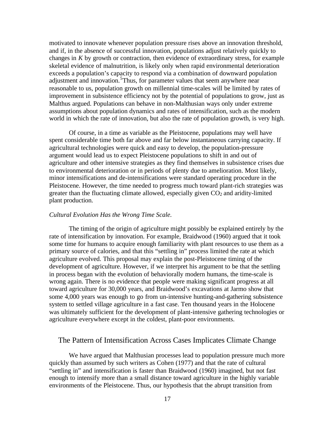motivated to innovate whenever population pressure rises above an innovation threshold, and if, in the absence of successful innovation, populations adjust relatively quickly to changes in *K* by growth or contraction, then evidence of extraordinary stress, for example skeletal evidence of malnutrition, is likely only when rapid environmental deterioration exceeds a population's capacity to respond via a combination of downward population adjustment and innovation.<sup>5</sup>Thus, for parameter values that seem anywhere near reasonable to us, population growth on millennial time-scales will be limited by rates of improvement in subsistence efficiency not by the potential of populations to grow, just as Malthus argued. Populations can behave in non-Malthusian ways only under extreme assumptions about population dynamics and rates of intensification, such as the modern world in which the rate of innovation, but also the rate of population growth, is very high.

Of course, in a time as variable as the Pleistocene, populations may well have spent considerable time both far above and far below instantaneous carrying capacity. If agricultural technologies were quick and easy to develop, the population-pressure argument would lead us to expect Pleistocene populations to shift in and out of agriculture and other intensive strategies as they find themselves in subsistence crises due to environmental deterioration or in periods of plenty due to amelioration. Most likely, minor intensifications and de-intensifications were standard operating procedure in the Pleistocene. However, the time needed to progress much toward plant-rich strategies was greater than the fluctuating climate allowed, especially given  $CO<sub>2</sub>$  and aridity-limited plant production.

### *Cultural Evolution Has the Wrong Time Scale.*

The timing of the origin of agriculture might possibly be explained entirely by the rate of intensification by innovation. For example, Braidwood (1960) argued that it took some time for humans to acquire enough familiarity with plant resources to use them as a primary source of calories, and that this "settling in" process limited the rate at which agriculture evolved. This proposal may explain the post-Pleistocene timing of the development of agriculture. However, if we interpret his argument to be that the settling in process began with the evolution of behaviorally modern humans, the time-scale is wrong again. There is no evidence that people were making significant progress at all toward agriculture for 30,000 years, and Braidwood's excavations at Jarmo show that some 4,000 years was enough to go from un-intensive hunting-and-gathering subsistence system to settled village agriculture in a fast case. Ten thousand years in the Holocene was ultimately sufficient for the development of plant-intensive gathering technologies or agriculture everywhere except in the coldest, plant-poor environments.

# The Pattern of Intensification Across Cases Implicates Climate Change

We have argued that Malthusian processes lead to population pressure much more quickly than assumed by such writers as Cohen (1977) and that the rate of cultural "settling in" and intensification is faster than Braidwood (1960) imagined, but not fast enough to intensify more than a small distance toward agriculture in the highly variable environments of the Pleistocene. Thus, our hypothesis that the abrupt transition from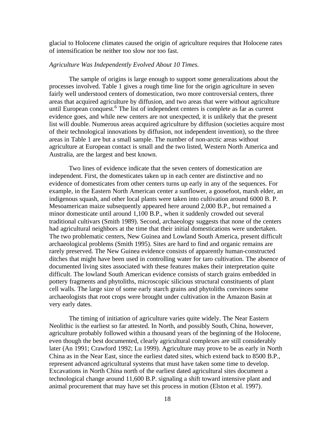glacial to Holocene climates caused the origin of agriculture requires that Holocene rates of intensification be neither too slow nor too fast.

#### *Agriculture Was Independently Evolved About 10 Times.*

The sample of origins is large enough to support some generalizations about the processes involved. Table 1 gives a rough time line for the origin agriculture in seven fairly well understood centers of domestication, two more controversial centers, three areas that acquired agriculture by diffusion, and two areas that were without agriculture until European conquest.<sup>6</sup> The list of independent centers is complete as far as current evidence goes, and while new centers are not unexpected, it is unlikely that the present list will double. Numerous areas acquired agriculture by diffusion (societies acquire most of their technological innovations by diffusion, not independent invention), so the three areas in Table 1 are but a small sample. The number of non-arctic areas without agriculture at European contact is small and the two listed, Western North America and Australia, are the largest and best known.

Two lines of evidence indicate that the seven centers of domestication are independent. First, the domesticates taken up in each center are distinctive and no evidence of domesticates from other centers turns up early in any of the sequences. For example, in the Eastern North American center a sunflower, a goosefoot, marsh elder, an indigenous squash, and other local plants were taken into cultivation around 6000 B. P. Mesoamerican maize subsequently appeared here around 2,000 B.P., but remained a minor domesticate until around 1,100 B.P., when it suddenly crowded out several traditional cultivars (Smith 1989). Second, archaeology suggests that none of the centers had agricultural neighbors at the time that their initial domestications were undertaken. The two problematic centers, New Guinea and Lowland South America, present difficult archaeological problems (Smith 1995). Sites are hard to find and organic remains are rarely preserved. The New Guinea evidence consists of apparently human-constructed ditches that might have been used in controlling water for taro cultivation. The absence of documented living sites associated with these features makes their interpretation quite difficult. The lowland South American evidence consists of starch grains embedded in pottery fragments and phytoliths, microscopic silicious structural constituents of plant cell walls. The large size of some early starch grains and phytoliths convinces some archaeologists that root crops were brought under cultivation in the Amazon Basin at very early dates.

The timing of initiation of agriculture varies quite widely. The Near Eastern Neolithic is the earliest so far attested. In North, and possibly South, China, however, agriculture probably followed within a thousand years of the beginning of the Holocene, even though the best documented, clearly agricultural complexes are still considerably later (An 1991; Crawford 1992; Lu 1999). Agriculture may prove to be as early in North China as in the Near East, since the earliest dated sites, which extend back to 8500 B.P., represent advanced agricultural systems that must have taken some time to develop. Excavations in North China north of the earliest dated agricultural sites document a technological change around 11,600 B.P. signaling a shift toward intensive plant and animal procurement that may have set this process in motion (Elston et al. 1997).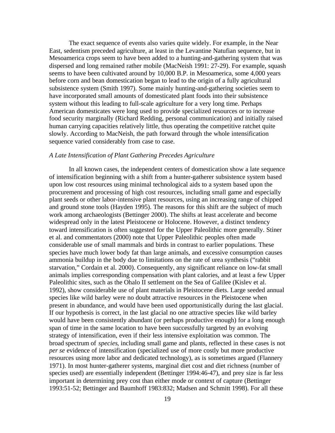The exact sequence of events also varies quite widely. For example, in the Near East, sedentism preceded agriculture, at least in the Levantine Natufian sequence, but in Mesoamerica crops seem to have been added to a hunting-and-gathering system that was dispersed and long remained rather mobile (MacNeish 1991: 27-29). For example, squash seems to have been cultivated around by 10,000 B.P. in Mesoamerica, some 4,000 years before corn and bean domestication began to lead to the origin of a fully agricultural subsistence system (Smith 1997). Some mainly hunting-and-gathering societies seem to have incorporated small amounts of domesticated plant foods into their subsistence system without this leading to full-scale agriculture for a very long time. Perhaps American domesticates were long used to provide specialized resources or to increase food security marginally (Richard Redding, personal communication) and initially raised human carrying capacities relatively little, thus operating the competitive ratchet quite slowly. According to MacNeish, the path forward through the whole intensification sequence varied considerably from case to case.

#### *A Late Intensification of Plant Gathering Precedes Agriculture*

In all known cases, the independent centers of domestication show a late sequence of intensification beginning with a shift from a hunter-gatherer subsistence system based upon low cost resources using minimal technological aids to a system based upon the procurement and processing of high cost resources, including small game and especially plant seeds or other labor-intensive plant resources, using an increasing range of chipped and ground stone tools (Hayden 1995). The reasons for this shift are the subject of much work among archaeologists (Bettinger 2000). The shifts at least accelerate and become widespread only in the latest Pleistocene or Holocene. However, a distinct tendency toward intensification is often suggested for the Upper Paleolithic more generally. Stiner et al. and commentators (2000) note that Upper Paleolithic peoples often made considerable use of small mammals and birds in contrast to earlier populations. These species have much lower body fat than large animals, and excessive consumption causes ammonia buildup in the body due to limitations on the rate of urea synthesis ("rabbit starvation," Cordain et al. 2000). Consequently, any significant reliance on low-fat small animals implies corresponding compensation with plant calories, and at least a few Upper Paleolithic sites, such as the Ohalo II settlement on the Sea of Galilee (Kislev et al. 1992), show considerable use of plant materials in Pleistocene diets. Large seeded annual species like wild barley were no doubt attractive resources in the Pleistocene when present in abundance, and would have been used opportunistically during the last glacial. If our hypothesis is correct, in the last glacial no one attractive species like wild barley would have been consistently abundant (or perhaps productive enough) for a long enough span of time in the same location to have been successfully targeted by an evolving strategy of intensification, even if their less intensive exploitation was common. The broad spectrum of *species*, including small game and plants, reflected in these cases is not *per se* evidence of intensification (specialized use of more costly but more productive resources using more labor and dedicated technology), as is sometimes argued (Flannery 1971). In most hunter-gatherer systems, marginal diet cost and diet richness (number of species used) are essentially independent (Bettinger 1994:46-47), and prey size is far less important in determining prey cost than either mode or context of capture (Bettinger 1993:51-52; Bettinger and Baumhoff 1983:832; Madsen and Schmitt 1998). For all these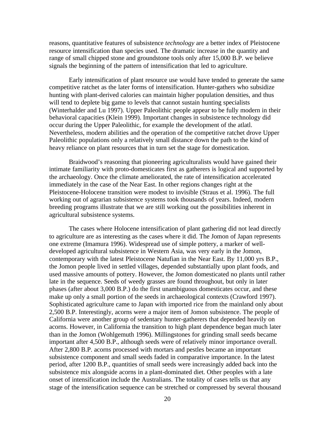reasons, quantitative features of subsistence *technology* are a better index of Pleistocene resource intensification than species used. The dramatic increase in the quantity and range of small chipped stone and groundstone tools only after 15,000 B.P. we believe signals the beginning of the pattern of intensification that led to agriculture.

Early intensification of plant resource use would have tended to generate the same competitive ratchet as the later forms of intensification. Hunter-gathers who subsidize hunting with plant-derived calories can maintain higher population densities, and thus will tend to deplete big game to levels that cannot sustain hunting specialists (Winterhalder and Lu 1997). Upper Paleolithic people appear to be fully modern in their behavioral capacities (Klein 1999). Important changes in subsistence technology did occur during the Upper Paleolithic, for example the development of the atlatl. Nevertheless, modern abilities and the operation of the competitive ratchet drove Upper Paleolithic populations only a relatively small distance down the path to the kind of heavy reliance on plant resources that in turn set the stage for domestication.

Braidwood's reasoning that pioneering agriculturalists would have gained their intimate familiarity with proto-domesticates first as gatherers is logical and supported by the archaeology. Once the climate ameliorated, the rate of intensification accelerated immediately in the case of the Near East. In other regions changes right at the Pleistocene-Holocene transition were modest to invisible (Straus et al. 1996). The full working out of agrarian subsistence systems took thousands of years. Indeed, modern breeding programs illustrate that we are still working out the possibilities inherent in agricultural subsistence systems.

The cases where Holocene intensification of plant gathering did not lead directly to agriculture are as interesting as the cases where it did. The Jomon of Japan represents one extreme (Imamura 1996). Widespread use of simple pottery, a marker of welldeveloped agricultural subsistence in Western Asia, was very early in the Jomon, contemporary with the latest Pleistocene Natufian in the Near East. By 11,000 yrs B.P., the Jomon people lived in settled villages, depended substantially upon plant foods, and used massive amounts of pottery. However, the Jomon domesticated no plants until rather late in the sequence. Seeds of weedy grasses are found throughout, but only in later phases (after about 3,000 B.P.) do the first unambiguous domesticates occur, and these make up only a small portion of the seeds in archaeological contexts (Crawford 1997). Sophisticated agriculture came to Japan with imported rice from the mainland only about 2,500 B.P. Interestingly, acorns were a major item of Jomon subsistence. The people of California were another group of sedentary hunter-gatherers that depended heavily on acorns. However, in California the transition to high plant dependence began much later than in the Jomon (Wohlgemuth 1996). Millingstones for grinding small seeds became important after 4,500 B.P., although seeds were of relatively minor importance overall. After 2,800 B.P. acorns processed with mortars and pestles became an important subsistence component and small seeds faded in comparative importance. In the latest period, after 1200 B.P., quantities of small seeds were increasingly added back into the subsistence mix alongside acorns in a plant-dominated diet. Other peoples with a late onset of intensification include the Australians. The totality of cases tells us that any stage of the intensification sequence can be stretched or compressed by several thousand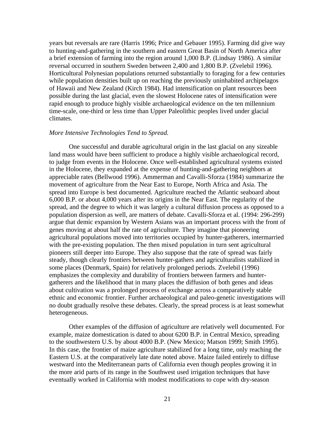years but reversals are rare (Harris 1996; Price and Gebauer 1995). Farming did give way to hunting-and-gathering in the southern and eastern Great Basin of North America after a brief extension of farming into the region around 1,000 B.P. (Lindsay 1986). A similar reversal occurred in southern Sweden between 2,400 and 1,800 B.P. (Zvelebil 1996). Horticultural Polynesian populations returned substantially to foraging for a few centuries while population densities built up on reaching the previously uninhabited archipelagos of Hawaii and New Zealand (Kirch 1984). Had intensification on plant resources been possible during the last glacial, even the slowest Holocene rates of intensification were rapid enough to produce highly visible archaeological evidence on the ten millennium time-scale, one-third or less time than Upper Paleolithic peoples lived under glacial climates.

### *More Intensive Technologies Tend to Spread.*

One successful and durable agricultural origin in the last glacial on any sizeable land mass would have been sufficient to produce a highly visible archaeological record, to judge from events in the Holocene. Once well-established agricultural systems existed in the Holocene, they expanded at the expense of hunting-and-gathering neighbors at appreciable rates (Bellwood 1996). Ammerman and Cavalli-Sforza (1984) summarize the movement of agriculture from the Near East to Europe, North Africa and Asia. The spread into Europe is best documented. Agriculture reached the Atlantic seaboard about 6,000 B.P. or about 4,000 years after its origins in the Near East. The regularity of the spread, and the degree to which it was largely a cultural diffusion process as opposed to a population dispersion as well, are matters of debate. Cavalli-Sforza et al. (1994: 296-299) argue that demic expansion by Western Asians was an important process with the front of genes moving at about half the rate of agriculture. They imagine that pioneering agricultural populations moved into territories occupied by hunter-gatherers, intermarried with the pre-existing population. The then mixed population in turn sent agricultural pioneers still deeper into Europe. They also suppose that the rate of spread was fairly steady, though clearly frontiers between hunter-gathers and agriculturalists stabilized in some places (Denmark, Spain) for relatively prolonged periods. Zvelebil (1996) emphasizes the complexity and durability of frontiers between farmers and huntergatherers and the likelihood that in many places the diffusion of both genes and ideas about cultivation was a prolonged process of exchange across a comparatively stable ethnic and economic frontier. Further archaeological and paleo-genetic investigations will no doubt gradually resolve these debates. Clearly, the spread process is at least somewhat heterogeneous.

Other examples of the diffusion of agriculture are relatively well documented. For example, maize domestication is dated to about 6200 B.P. in Central Mexico, spreading to the southwestern U.S. by about 4000 B.P. (New Mexico; Matson 1999; Smith 1995). In this case, the frontier of maize agriculture stabilized for a long time, only reaching the Eastern U.S. at the comparatively late date noted above. Maize failed entirely to diffuse westward into the Mediterranean parts of California even though peoples growing it in the more arid parts of its range in the Southwest used irrigation techniques that have eventually worked in California with modest modifications to cope with dry-season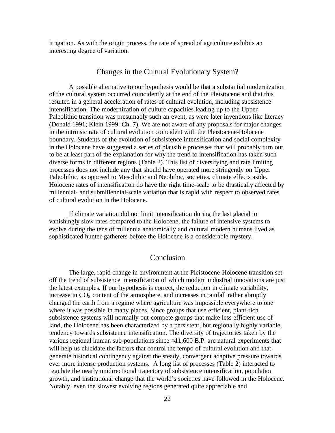irrigation. As with the origin process, the rate of spread of agriculture exhibits an interesting degree of variation.

# Changes in the Cultural Evolutionary System?

A possible alternative to our hypothesis would be that a substantial modernization of the cultural system occurred coincidently at the end of the Pleistocene and that this resulted in a general acceleration of rates of cultural evolution, including subsistence intensification. The modernization of culture capacities leading up to the Upper Paleolithic transition was presumably such an event, as were later inventions like literacy (Donald 1991; Klein 1999: Ch. 7). We are not aware of any proposals for major changes in the intrinsic rate of cultural evolution coincident with the Pleistocene-Holocene boundary. Students of the evolution of subsistence intensification and social complexity in the Holocene have suggested a series of plausible processes that will probably turn out to be at least part of the explanation for why the trend to intensification has taken such diverse forms in different regions (Table 2). This list of diversifying and rate limiting processes does not include any that should have operated more stringently on Upper Paleolithic, as opposed to Mesolithic and Neolithic, societies, climate effects aside. Holocene rates of intensification do have the right time-scale to be drastically affected by millennial- and submillennial-scale variation that is rapid with respect to observed rates of cultural evolution in the Holocene.

If climate variation did not limit intensification during the last glacial to vanishingly slow rates compared to the Holocene, the failure of intensive systems to evolve during the tens of millennia anatomically and cultural modern humans lived as sophisticated hunter-gatherers before the Holocene is a considerable mystery.

# Conclusion

The large, rapid change in environment at the Pleistocene-Holocene transition set off the trend of subsistence intensification of which modern industrial innovations are just the latest examples. If our hypothesis is correct, the reduction in climate variability, increase in  $CO<sub>2</sub>$  content of the atmosphere, and increases in rainfall rather abruptly changed the earth from a regime where agriculture was impossible everywhere to one where it was possible in many places. Since groups that use efficient, plant-rich subsistence systems will normally out-compete groups that make less efficient use of land, the Holocene has been characterized by a persistent, but regionally highly variable, tendency towards subsistence intensification. The diversity of trajectories taken by the various regional human sub-populations since  $\approx$ 11,600 B.P. are natural experiments that will help us elucidate the factors that control the tempo of cultural evolution and that generate historical contingency against the steady, convergent adaptive pressure towards ever more intense production systems. A long list of processes (Table 2) interacted to regulate the nearly unidirectional trajectory of subsistence intensification, population growth, and institutional change that the world's societies have followed in the Holocene. Notably, even the slowest evolving regions generated quite appreciable and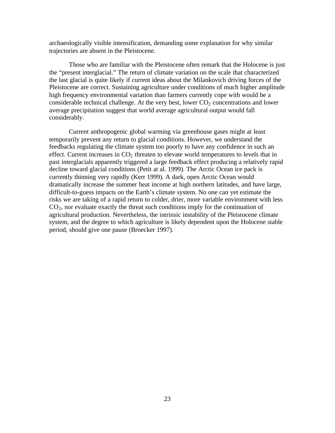archaeologically visible intensification, demanding some explanation for why similar trajectories are absent in the Pleistocene.

Those who are familiar with the Pleistocene often remark that the Holocene is just the "present interglacial." The return of climate variation on the scale that characterized the last glacial is quite likely if current ideas about the Milankovich driving forces of the Pleistocene are correct. Sustaining agriculture under conditions of much higher amplitude high frequency environmental variation than farmers currently cope with would be a considerable technical challenge. At the very best, lower  $CO<sub>2</sub>$  concentrations and lower average precipitation suggest that world average agricultural output would fall considerably.

Current anthropogenic global warming via greenhouse gases might at least temporarily prevent any return to glacial conditions. However, we understand the feedbacks regulating the climate system too poorly to have any confidence in such an effect. Current increases in  $CO<sub>2</sub>$  threaten to elevate world temperatures to levels that in past interglacials apparently triggered a large feedback effect producing a relatively rapid decline toward glacial conditions (Petit at al. 1999). The Arctic Ocean ice pack is currently thinning very rapidly (Kerr 1999). A dark, open Arctic Ocean would dramatically increase the summer heat income at high northern latitudes, and have large, difficult-to-guess impacts on the Earth's climate system. No one can yet estimate the risks we are taking of a rapid return to colder, drier, more variable environment with less  $CO<sub>2</sub>$ , nor evaluate exactly the threat such conditions imply for the continuation of agricultural production. Nevertheless, the intrinsic instability of the Pleistocene climate system, and the degree to which agriculture is likely dependent upon the Holocene stable period, should give one pause (Broecker 1997).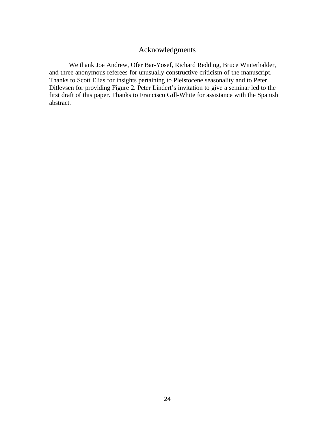# Acknowledgments

We thank Joe Andrew, Ofer Bar-Yosef, Richard Redding, Bruce Winterhalder, and three anonymous referees for unusually constructive criticism of the manuscript. Thanks to Scott Elias for insights pertaining to Pleistocene seasonality and to Peter Ditlevsen for providing Figure 2. Peter Lindert's invitation to give a seminar led to the first draft of this paper. Thanks to Francisco Gill-White for assistance with the Spanish abstract.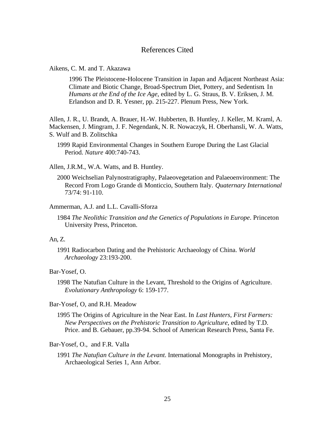# References Cited

Aikens, C. M. and T. Akazawa

1996 The Pleistocene-Holocene Transition in Japan and Adjacent Northeast Asia: Climate and Biotic Change, Broad-Spectrum Diet, Pottery, and Sedentism*.* In *Humans at the End of the Ice Age*, edited by L. G. Straus, B. V. Eriksen, J. M. Erlandson and D. R. Yesner, pp. 215-227. Plenum Press, New York.

Allen, J. R., U. Brandt, A. Brauer, H.-W. Hubberten, B. Huntley, J. Keller, M. Kraml, A. Mackensen, J. Mingram, J. F. Negendank, N. R. Nowaczyk, H. Oberhansli, W. A. Watts, S. Wulf and B. Zolitschka

1999 Rapid Environmental Changes in Southern Europe During the Last Glacial Period. *Nature* 400:740-743.

Allen, J.R.M., W.A. Watts, and B. Huntley.

2000 Weichselian Palynostratigraphy, Palaeovegetation and Palaeoenvironment: The Record From Logo Grande di Monticcio, Southern Italy. *Quaternary International* 73/74: 91-110.

Ammerman, A.J. and L.L. Cavalli-Sforza

1984 *The Neolithic Transition and the Genetics of Populations in Europe*. Princeton University Press, Princeton.

#### An, Z.

1991 Radiocarbon Dating and the Prehistoric Archaeology of China. *World Archaeology* 23:193-200.

# Bar-Yosef, O.

1998 The Natufian Culture in the Levant, Threshold to the Origins of Agriculture. *Evolutionary Anthropology* 6: 159-177.

Bar-Yosef, O, and R.H. Meadow

1995 The Origins of Agriculture in the Near East. In *Last Hunters, First Farmers: New Perspectives on the Prehistoric Transition to Agriculture*, edited by T.D. Price. and B. Gebauer, pp.39-94. School of American Research Press, Santa Fe.

Bar-Yosef, O., and F.R. Valla

1991 *The Natufian Culture in the Levant.* International Monographs in Prehistory, Archaeological Series 1, Ann Arbor.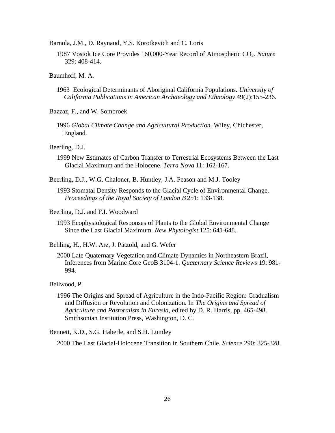Barnola, J.M., D. Raynaud, Y.S. Korotkevich and C. Loris

1987 Vostok Ice Core Provides 160,000-Year Record of Atmospheric CO2. *Nature* 329: 408-414.

Baumhoff, M. A.

1963 Ecological Determinants of Aboriginal California Populations. *University of California Publications in American Archaeology and Ethnology* 49(2):155-236.

Bazzaz, F., and W. Sombroek

1996 *Global Climate Change and Agricultural Production*. Wiley, Chichester, England.

# Beerling, D.J.

1999 New Estimates of Carbon Transfer to Terrestrial Ecosystems Between the Last Glacial Maximum and the Holocene. *Terra Nova* 11: 162-167.

Beerling, D.J., W.G. Chaloner, B. Huntley, J.A. Peason and M.J. Tooley

1993 Stomatal Density Responds to the Glacial Cycle of Environmental Change. *Proceedings of the Royal Society of London B* 251: 133-138.

Beerling, D.J. and F.I. Woodward

1993 Ecophysiological Responses of Plants to the Global Environmental Change Since the Last Glacial Maximum. *New Phytologist* 125: 641-648.

Behling, H., H.W. Arz, J. Pätzold, and G. Wefer

2000 Late Quaternary Vegetation and Climate Dynamics in Northeastern Brazil, Inferences from Marine Core GeoB 3104-1. *Quaternary Science Reviews* 19: 981- 994.

Bellwood, P.

1996 The Origins and Spread of Agriculture in the Indo-Pacific Region: Gradualism and Diffusion or Revolution and Colonization. In *The Origins and Spread of Agriculture and Pastoralism in Eurasia*, edited by D. R. Harris, pp. 465-498. Smithsonian Institution Press, Washington, D. C.

Bennett, K.D., S.G. Haberle, and S.H. Lumley

2000 The Last Glacial-Holocene Transition in Southern Chile. *Science* 290: 325-328.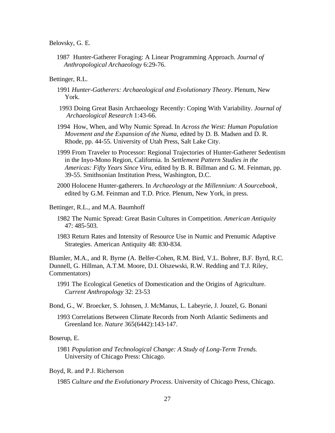Belovsky, G. E.

1987 Hunter-Gatherer Foraging: A Linear Programming Approach. *Journal of Anthropological Archaeology* 6:29-76.

#### Bettinger, R.L.

- 1991 *Hunter-Gatherers: Archaeological and Evolutionary Theory*. Plenum, New York.
- 1993 Doing Great Basin Archaeology Recently: Coping With Variability. *Journal of Archaeological Research* 1:43-66.
- 1994 How, When, and Why Numic Spread*.* In *Across the West: Human Population Movement and the Expansion of the Numa*, edited by D. B. Madsen and D. R. Rhode, pp. 44-55. University of Utah Press, Salt Lake City.
- 1999 From Traveler to Processor: Regional Trajectories of Hunter-Gatherer Sedentism in the Inyo-Mono Region, California. In *Settlement Pattern Studies in the Americas: Fifty Years Since Viru*, edited by B. R. Billman and G. M. Feinman, pp. 39-55. Smithsonian Institution Press, Washington, D.C.
- 2000 Holocene Hunter-gatherers. In *Archaeology at the Millennium: A Sourcebook*, edited by G.M. Feinman and T.D. Price. Plenum, New York, in press.

Bettinger, R.L., and M.A. Baumhoff

- 1982 The Numic Spread: Great Basin Cultures in Competition. *American Antiquity* 47: 485-503.
- 1983 Return Rates and Intensity of Resource Use in Numic and Prenumic Adaptive Strategies. American Antiquity 48: 830-834.

Blumler, M.A., and R. Byrne (A. Belfer-Cohen, R.M. Bird, V.L. Bohrer, B.F. Byrd, R.C. Dunnell, G. Hillman, A.T.M. Moore, D.I. Olszewski, R.W. Redding and T.J. Riley, Commentators)

1991 The Ecological Genetics of Domestication and the Origins of Agriculture. *Current Anthropology* 32: 23-53

Bond, G., W. Broecker, S. Johnsen, J. McManus, L. Labeyrie, J. Jouzel, G. Bonani

1993 Correlations Between Climate Records from North Atlantic Sediments and Greenland Ice. *Nature* 365(6442):143-147.

# Boserup, E.

1981 *Population and Technological Change: A Study of Long-Term Trends.* University of Chicago Press: Chicago.

#### Boyd, R. and P.J. Richerson

1985 *Culture and the Evolutionary Process*. University of Chicago Press, Chicago.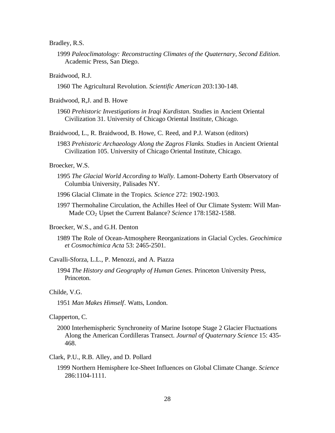Bradley, R.S.

1999 *Paleoclimatology: Reconstructing Climates of the Quaternary, Second Edition*. Academic Press, San Diego.

#### Braidwood, R.J.

1960 The Agricultural Revolution. *Scientific American* 203:130-148.

#### Braidwood, R,J. and B. Howe

1960 *Prehistoric Investigations in Iraqi Kurdistan*. Studies in Ancient Oriental Civilization 31. University of Chicago Oriental Institute, Chicago.

Braidwood, L., R. Braidwood, B. Howe, C. Reed, and P.J. Watson (editors)

1983 *Prehistoric Archaeology Along the Zagros Flanks*. Studies in Ancient Oriental Civilization 105. University of Chicago Oriental Institute, Chicago.

# Broecker, W.S.

- 1995 *The Glacial World According to Wally.* Lamont-Doherty Earth Observatory of Columbia University, Palisades NY.
- 1996 Glacial Climate in the Tropics. *Science* 272: 1902-1903.
- 1997 Thermohaline Circulation, the Achilles Heel of Our Climate System: Will Man-Made CO2 Upset the Current Balance? *Science* 178:1582-1588.

#### Broecker, W.S., and G.H. Denton

1989 The Role of Ocean-Atmosphere Reorganizations in Glacial Cycles. *Geochimica et Cosmochimica Acta* 53: 2465-2501.

#### Cavalli-Sforza, L.L., P. Menozzi, and A. Piazza

1994 *The History and Geography of Human Genes*. Princeton University Press, Princeton.

# Childe, V.G.

1951 *Man Makes Himself*. Watts, London.

#### Clapperton, C.

2000 Interhemispheric Synchroneity of Marine Isotope Stage 2 Glacier Fluctuations Along the American Cordilleras Transect. *Journal of Quaternary Science* 15: 435- 468.

#### Clark, P.U., R.B. Alley, and D. Pollard

1999 Northern Hemisphere Ice-Sheet Influences on Global Climate Change. *Science* 286:1104-1111.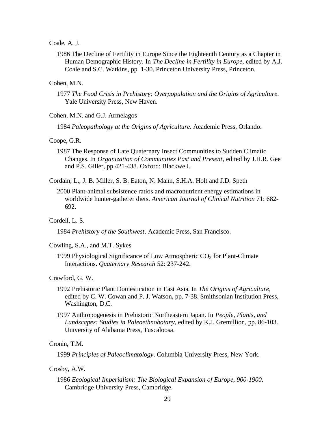### Coale, A. J.

1986 The Decline of Fertility in Europe Since the Eighteenth Century as a Chapter in Human Demographic History. In *The Decline in Fertility in Europe*, edited by A.J. Coale and S.C. Watkins, pp. 1-30. Princeton University Press, Princeton.

#### Cohen, M.N.

1977 *The Food Crisis in Prehistory: Overpopulation and the Origins of Agriculture*. Yale University Press, New Haven.

#### Cohen, M.N. and G.J. Armelagos

1984 *Paleopathology at the Origins of Agriculture*. Academic Press, Orlando.

#### Coope, G.R.

- 1987 The Response of Late Quaternary Insect Communities to Sudden Climatic Changes. In *Organization of Communities Past and Present*, edited by J.H.R. Gee and P.S. Giller, pp.421-438. Oxford: Blackwell.
- Cordain, L., J. B. Miller, S. B. Eaton, N. Mann, S.H.A. Holt and J.D. Speth
	- 2000 Plant-animal subsistence ratios and macronutrient energy estimations in worldwide hunter-gatherer diets. *American Journal of Clinical Nutrition* 71: 682- 692.

#### Cordell, L. S.

1984 *Prehistory of the Southwest*. Academic Press, San Francisco.

# Cowling, S.A., and M.T. Sykes

1999 Physiological Significance of Low Atmospheric  $CO<sub>2</sub>$  for Plant-Climate Interactions. *Quaternary Research* 52: 237-242.

#### Crawford, G. W.

- 1992 Prehistoric Plant Domestication in East Asia*.* In *The Origins of Agriculture*, edited by C. W. Cowan and P. J. Watson, pp. 7-38. Smithsonian Institution Press, Washington, D.C.
- 1997 Anthropogenesis in Prehistoric Northeastern Japan. In *People, Plants, and Landscapes: Studies in Paleoethnobotany,* edited by K.J. Gremillion, pp. 86-103. University of Alabama Press, Tuscaloosa.

#### Cronin, T.M.

1999 *Principles of Paleoclimatology*. Columbia University Press, New York.

#### Crosby, A.W.

1986 *Ecological Imperialism: The Biological Expansion of Europe, 900-1900*. Cambridge University Press, Cambridge.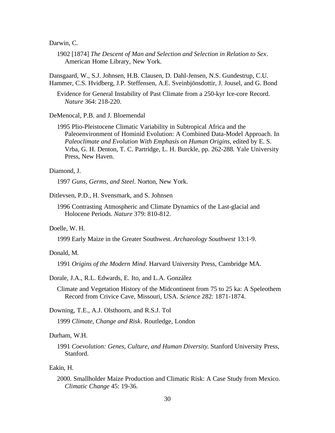Darwin, C.

1902 [1874] *The Descent of Man and Selection and Selection in Relation to Sex*. American Home Library, New York.

Dansgaard, W., S.J. Johnsen, H.B. Clausen, D. Dahl-Jensen, N.S. Gundestrup, C.U. Hammer, C.S. Hvidberg, J.P. Steffensen, A.E. Sveinbjönsdottir, J. Jousel, and G. Bond

Evidence for General Instability of Past Climate from a 250-kyr Ice-core Record. *Nature* 364: 218-220.

DeMenocal, P.B. and J. Bloemendal

1995 Plio-Pleistocene Climatic Variability in Subtropical Africa and the Paleoenvironment of Hominid Evolution: A Combined Data-Model Approach. In *Paleoclimate and Evolution With Emphasis on Human Origins*, edited by E. S. Vrba, G. H. Denton, T. C. Partridge, L. H. Burckle, pp. 262-288*.* Yale University Press, New Haven.

Diamond, J.

1997 *Guns, Germs, and Steel*. Norton, New York.

Ditlevsen, P.D., H. Svensmark, and S. Johnsen

1996 Contrasting Atmospheric and Climate Dynamics of the Last-glacial and Holocene Periods. *Nature* 379: 810-812.

# Doelle, W. H.

1999 Early Maize in the Greater Southwest. *Archaeology Southwest* 13:1-9.

#### Donald, M.

1991 *Origins of the Modern Mind*. Harvard University Press, Cambridge MA.

# Dorale, J.A., R.L. Edwards, E. Ito, and L.A. González

Climate and Vegetation History of the Midcontinent from 75 to 25 ka: A Speleothem Record from Crivice Cave, Missouri, USA. *Science* 282: 1871-1874.

Downing, T.E., A.J. Olsthoorn, and R.S.J. Tol

1999 *Climate, Change and Risk*. Routledge, London

#### Durham, W.H.

1991 *Coevolution: Genes, Culture, and Human Diversity*. Stanford University Press, Stanford.

#### Eakin, H.

2000. Smallholder Maize Production and Climatic Risk: A Case Study from Mexico. *Climatic Change* 45: 19-36.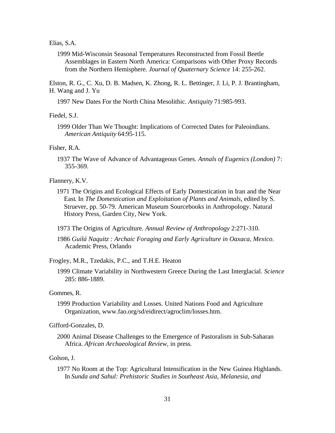Elias, S.A.

1999 Mid-Wisconsin Seasonal Temperatures Reconstructed from Fossil Beetle Assemblages in Eastern North America: Comparisons with Other Proxy Records from the Northern Hemisphere. *Journal of Quaternary Science* 14: 255-262.

Elston, R. G., C. Xu, D. B. Madsen, K. Zhong, R. L. Bettinger, J. Li, P. J. Brantingham, H. Wang and J. Yu

1997 New Dates For the North China Mesolithic. *Antiquity* 71:985-993.

Fiedel, S.J.

1999 Older Than We Thought: Implications of Corrected Dates for Paleoindians. *American Antiquity* 64:95-115.

# Fisher, R.A.

1937 The Wave of Advance of Advantageous Genes. *Annals of Eugenics (London)* 7: 355-369.

Flannery, K.V.

1971 The Origins and Ecological Effects of Early Domestication in Iran and the Near East*.* In *The Domestication and Exploitation of Plants and Animals*, edited by S. Struever, pp. 50-79. American Museum Sourcebooks in Anthropology. Natural History Press, Garden City, New York.

1973 The Origins of Agriculture. *Annual Review of Anthropology* 2:271-310.

1986 *Guilá Naquitz : Archaic Foraging and Early Agriculture in Oaxaca, Mexico*. Academic Press, Orlando

Frogley, M.R., Tzedakis, P.C., and T.H.E. Heaton

1999 Climate Variability in Northwestern Greece During the Last Interglacial. *Science* 285: 886-1889.

Gommes, R.

1999 Production Variability and Losses. United Nations Food and Agriculture Organization, www.fao.org/sd/eidirect/agroclim/losses.htm.

Gifford-Gonzales, D.

2000 Animal Disease Challenges to the Emergence of Pastoralism in Sub-Saharan Africa. *African Archaeological Review*, in press*.*

Golson, J.

1977 No Room at the Top: Agricultural Intensification in the New Guinea Highlands. In *Sunda and Sahul: Prehistoric Studies in Southeast Asia, Melanesia, and*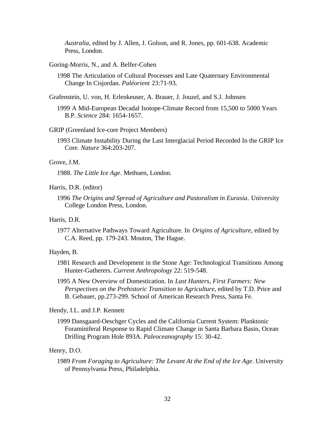*Australia*, edited by J. Allen, J. Golson, and R. Jones, pp. 601-638. Academic Press, London.

Goring-Morris, N., and A. Belfer-Cohen

1998 The Articulation of Cultural Processes and Late Quaternary Environmental Change In Cisjordan. *Paléorient* 23:71-93.

Grafenstein, U. von, H. Erlenkeuser, A. Brauer, J. Jouzel, and S.J. Johnsen

1999 A Mid-European Decadal Isotope-Climate Record from 15,500 to 5000 Years B.P. *Science* 284: 1654-1657.

GRIP (Greenland Ice-core Project Members)

1993 Climate Instability During the Last Interglacial Period Recorded In the GRIP Ice Core. *Nature* 364:203-207.

#### Grove, J.M.

1988. *The Little Ice Age*. Methuen, London.

#### Harris, D.R. (editor)

1996 *The Origins and Spread of Agriculture and Pastoralism in Eurasia*. University College London Press, London.

# Harris, D.R.

1977 Alternative Pathways Toward Agriculture. In *Origins of Agriculture*, edited by C.A. Reed, pp. 179-243. Mouton, The Hague.

#### Hayden, B.

- 1981 Research and Development in the Stone Age: Technological Transitions Among Hunter-Gatherers. *Current Anthropology* 22: 519-548.
- 1995 A New Overview of Domestication. In *Last Hunters, First Farmers: New Perspectives on the Prehistoric Transition to Agriculture*, edited by T.D. Price and B. Gebauer, pp.273-299. School of American Research Press, Santa Fe.

Hendy, I.L. and J.P. Kennett

1999 Dansgaard-Oeschger Cycles and the California Current System: Planktonic Foraminiferal Response to Rapid Climate Change in Santa Barbara Basin, Ocean Drilling Program Hole 893A. *Paleoceanography* 15: 30-42.

#### Henry, D.O.

1989 *From Foraging to Agriculture: The Levant At the End of the Ice Age*. University of Pennsylvania Press, Philadelphia.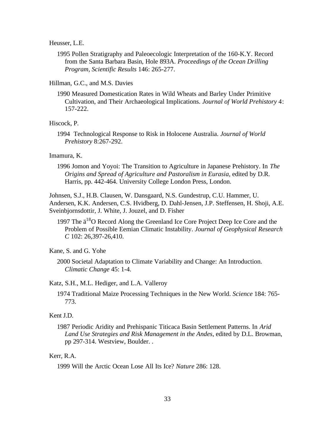#### Heusser, L.E.

1995 Pollen Stratigraphy and Paleoecologic Interpretation of the 160-K.Y. Record from the Santa Barbara Basin, Hole 893A. *Proceedings of the Ocean Drilling Program, Scientific Results* 146: 265-277.

#### Hillman, G.C., and M.S. Davies

1990 Measured Domestication Rates in Wild Wheats and Barley Under Primitive Cultivation, and Their Archaeological Implications. *Journal of World Prehistory* 4: 157-222.

# Hiscock, P.

1994 Technological Response to Risk in Holocene Australia. *Journal of World Prehistory* 8:267-292.

# Imamura, K.

1996 Jomon and Yoyoi: The Transition to Agriculture in Japanese Prehistory. In *The Origins and Spread of Agriculture and Pastoralism in Eurasia*, edited by D.R. Harris, pp. 442-464. University College London Press, London.

Johnsen, S.J., H.B. Clausen, W. Dansgaard, N.S. Gundestrup, C.U. Hammer, U. Andersen, K.K. Andersen, C.S. Hvidberg, D. Dahl-Jensen, J.P. Steffensen, H. Shoji, A.E. Sveinbjornsdottir, J. White, J. Jouzel, and D. Fisher

1997 The  $\ddot{a}^{18}$ O Record Along the Greenland Ice Core Project Deep Ice Core and the Problem of Possible Eemian Climatic Instability. *Journal of Geophysical Research C* 102: 26,397-26,410.

Kane, S. and G. Yohe

2000 Societal Adaptation to Climate Variability and Change: An Introduction. *Climatic Change* 45: 1-4.

Katz, S.H., M.L. Hediger, and L.A. Valleroy

1974 Traditional Maize Processing Techniques in the New World. *Science* 184: 765- 773.

# Kent J.D.

1987 Periodic Aridity and Prehispanic Titicaca Basin Settlement Patterns. In *Arid Land Use Strategies and Risk Management in the Andes*, edited by D.L. Browman, pp 297-314. Westview, Boulder. .

# Kerr, R.A.

1999 Will the Arctic Ocean Lose All Its Ice? *Nature* 286: 128.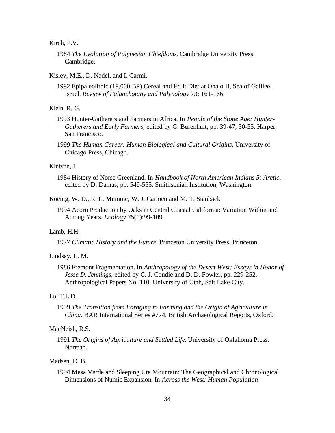Kirch, P.V.

1984 *The Evolution of Polynesian Chiefdoms*. Cambridge University Press, Cambridge.

Kislev, M.E., D. Nadel, and I. Carmi.

Klein, R. G.

- 1993 Hunter-Gatherers and Farmers in Africa. In *People of the Stone Age: Hunter-Gatherers and Early Farmers*, edited by G. Burenhult, pp. 39-47, 50-55. Harper, San Francisco.
- 1999 *The Human Career: Human Biological and Cultural Origins*. University of Chicago Press, Chicago.

# Kleivan, I.

1984 History of Norse Greenland. In *Handbook of North American Indians 5: Arctic*, edited by D. Damas, pp. 549-555. Smithsonian Institution, Washington.

Koenig, W. D., R. L. Mumme, W. J. Carmen and M. T. Stanback

# Lamb, H.H.

1977 *Climatic History and the Future*. Princeton University Press, Princeton.

#### Lindsay, L. M.

1986 Fremont Fragmentation. In *Anthropology of the Desert West: Essays in Honor of Jesse D. Jennings*, edited by C. J. Condie and D. D. Fowler, pp. 229-252. Anthropological Papers No. 110. University of Utah, Salt Lake City.

#### Lu, T.L.D.

1999 *The Transition from Foraging to Farming and the Origin of Agriculture in China.* BAR International Series #774. British Archaeological Reports, Oxford.

#### MacNeish, R.S.

1991 *The Origins of Agriculture and Settled Life*. University of Oklahoma Press: Norman.

#### Madsen, D. B.

1994 Mesa Verde and Sleeping Ute Mountain: The Geographical and Chronological Dimensions of Numic Expansion, In *Across the West: Human Population*

<sup>1992</sup> Epipaleolithic (19,000 BP) Cereal and Fruit Diet at Ohalo II, Sea of Galilee, Israel. *Review of Palaoebotany and Palynology* 73: 161-166

<sup>1994</sup> Acorn Production by Oaks in Central Coastal California: Variation Within and Among Years. *Ecology* 75(1):99-109.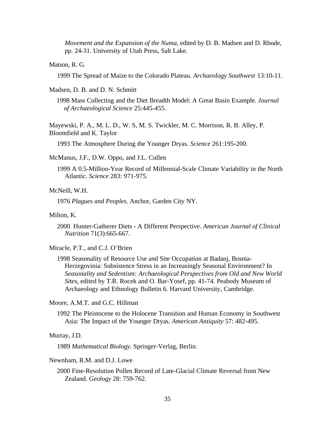*Movement and the Expansion of the Numa*, edited by D. B. Madsen and D. Rhode, pp. 24-31. University of Utah Press, Salt Lake.

Matson, R. G.

1999 The Spread of Maize to the Colorado Plateau. *Archaeology Southwest* 13:10-11.

Madsen, D. B. and D. N. Schmitt

1998 Mass Collecting and the Diet Breadth Model: A Great Basin Example. *Journal of Archaeological Science* 25:445-455.

Mayewski, P. A., M. L. D., W. S, M. S. Twickler, M. C. Morrison, R. B. Alley, P. Bloomfield and K. Taylor

1993 The Atmosphere During the Younger Dryas. *Science* 261:195-200.

McManus, J.F., D.W. Oppo, and J.L. Cullen

1999 A 0.5-Million-Year Record of Millennial-Scale Climate Variability in the North Atlantic. *Science* 283: 971-975.

# McNeill, W.H.

1976 *Plagues and Peoples*. Anchor, Garden City NY.

#### Milton, K.

2000 Hunter-Gatherer Diets - A Different Perspective. *American Journal of Clinical Nutrition* 71(3):665-667.

# Miracle, P.T., and C.J. O'Brien

1998 Seasonality of Resource Use and Site Occupation at Badanj, Bosnia-Herzegovinia: Subsistence Stress in an Increasingly Seasonal Environment? In *Seasonality and Sedentism: Archaeological Perspectives from Old and New World Sites*, edited by T.R. Rocek and O. Bar-Yosef, pp. 41-74. Peabody Museum of Archaeology and Ethnology Bulletin 6. Harvard University, Cambridge.

Moore, A.M.T. and G.C. Hillman

1992 The Pleistocene to the Holocene Transition and Human Economy in Southwest Asia: The Impact of the Younger Dryas. *American Antiquity* 57: 482-495.

#### Murray, J.D.

1989 *Mathematical Biology*. Springer-Verlag, Berlin.

#### Newnham, R.M. and D.J. Lowe

2000 Fine-Resolution Pollen Record of Late-Glacial Climate Reversal from New Zealand. *Geology* 28: 759-762.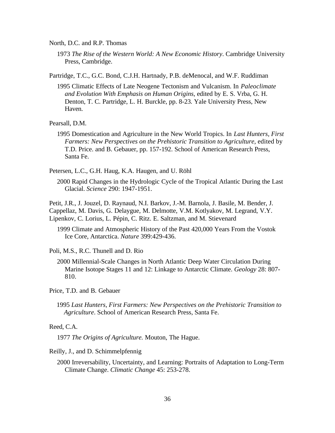North, D.C. and R.P. Thomas

1973 *The Rise of the Western World: A New Economic History*. Cambridge University Press, Cambridge.

Partridge, T.C., G.C. Bond, C.J.H. Hartnady, P.B. deMenocal, and W.F. Ruddiman

1995 Climatic Effects of Late Neogene Tectonism and Vulcanism. In *Paleoclimate and Evolution With Emphasis on Human Origins*, edited by E. S. Vrba, G. H. Denton, T. C. Partridge, L. H. Burckle, pp. 8-23*.* Yale University Press, New Haven.

Pearsall, D.M.

1995 Domestication and Agriculture in the New World Tropics. In *Last Hunters, First Farmers: New Perspectives on the Prehistoric Transition to Agriculture*, edited by T.D. Price. and B. Gebauer, pp. 157-192. School of American Research Press, Santa Fe.

Petersen, L.C., G.H. Haug, K.A. Haugen, and U. Röhl

2000 Rapid Changes in the Hydrologic Cycle of the Tropical Atlantic During the Last Glacial. *Science* 290: 1947-1951.

Petit, J.R., J. Jouzel, D. Raynaud, N.I. Barkov, J.-M. Barnola, J. Basile, M. Bender, J. Cappellaz, M. Davis, G. Delaygue, M. Delmotte, V.M. Kotlyakov, M. Legrand, V.Y. Lipenkov, C. Lorius, L. Pépin, C. Ritz. E. Saltzman, and M. Stievenard

1999 Climate and Atmospheric History of the Past 420,000 Years From the Vostok Ice Core, Antarctica. *Nature* 399:429-436.

Poli, M.S., R.C. Thunell and D. Rio

2000 Millennial-Scale Changes in North Atlantic Deep Water Circulation During Marine Isotope Stages 11 and 12: Linkage to Antarctic Climate. *Geology* 28: 807- 810.

Price, T.D. and B. Gebauer

1995 *Last Hunters, First Farmers: New Perspectives on the Prehistoric Transition to Agriculture*. School of American Research Press, Santa Fe.

Reed, C.A.

1977 *The Origins of Agriculture.* Mouton, The Hague.

Reilly, J., and D. Schimmelpfennig

2000 Irreversability, Uncertainty, and Learning: Portraits of Adaptation to Long-Term Climate Change. *Climatic Change* 45: 253-278.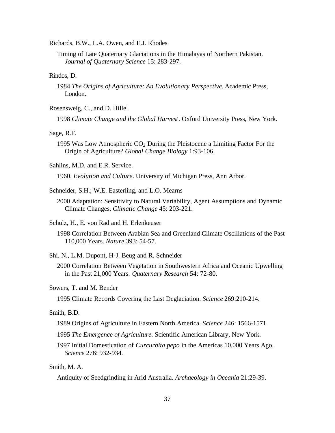Richards, B.W., L.A. Owen, and E.J. Rhodes

Timing of Late Quaternary Glaciations in the Himalayas of Northern Pakistan. *Journal of Quaternary Science* 15: 283-297.

### Rindos, D.

1984 *The Origins of Agriculture: An Evolutionary Perspective*. Academic Press, London.

Rosensweig, C., and D. Hillel

1998 *Climate Change and the Global Harvest*. Oxford University Press, New York.

Sage, R.F.

1995 Was Low Atmospheric  $CO<sub>2</sub>$  During the Pleistocene a Limiting Factor For the Origin of Agriculture? *Global Change Biology* 1:93-106.

Sahlins, M.D. and E.R. Service.

1960. *Evolution and Culture*. University of Michigan Press, Ann Arbor.

Schneider, S.H.; W.E. Easterling, and L.O. Mearns

2000 Adaptation: Sensitivity to Natural Variability, Agent Assumptions and Dynamic Climate Changes. *Climatic Change* 45: 203-221.

Schulz, H., E. von Rad and H. Erlenkeuser

1998 Correlation Between Arabian Sea and Greenland Climate Oscillations of the Past 110,000 Years. *Nature* 393: 54-57.

Shi, N., L.M. Dupont, H-J. Beug and R. Schneider

2000 Correlation Between Vegetation in Southwestern Africa and Oceanic Upwelling in the Past 21,000 Years. *Quaternary Research* 54: 72-80.

Sowers, T. and M. Bender

1995 Climate Records Covering the Last Deglaciation. *Science* 269:210-214.

Smith, B.D.

1989 Origins of Agriculture in Eastern North America. *Science* 246: 1566-1571.

- 1995 *The Emergence of Agriculture*. Scientific American Library, New York.
- 1997 Initial Domestication of *Curcurbita pepo* in the Americas 10,000 Years Ago. *Science* 276: 932-934.

Smith, M. A.

Antiquity of Seedgrinding in Arid Australia. *Archaeology in Oceania* 21:29-39.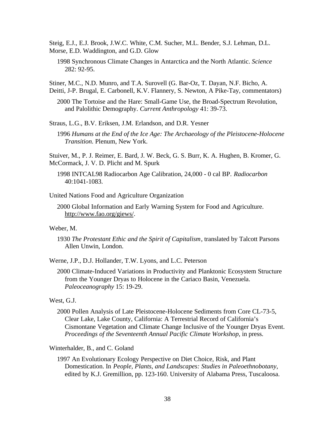Steig, E.J., E.J. Brook, J.W.C. White, C.M. Sucher, M.L. Bender, S.J. Lehman, D.L. Morse, E.D. Waddington, and G.D. Glow

1998 Synchronous Climate Changes in Antarctica and the North Atlantic. *Science* 282: 92-95.

Stiner, M.C., N.D. Munro, and T.A. Surovell (G. Bar-Oz, T. Dayan, N.F. Bicho, A. Deitti, J-P. Brugal, E. Carbonell, K.V. Flannery, S. Newton, A Pike-Tay, commentators)

2000 The Tortoise and the Hare: Small-Game Use, the Broad-Spectrum Revolution, and Palolithic Demography. *Current Anthropology* 41: 39-73.

Straus, L.G., B.V. Eriksen, J.M. Erlandson, and D.R. Yesner

1996 *Humans at the End of the Ice Age: The Archaeology of the Pleistocene-Holocene Transition.* Plenum, New York.

Stuiver, M., P. J. Reimer, E. Bard, J. W. Beck, G. S. Burr, K. A. Hughen, B. Kromer, G. McCormack, J. V. D. Plicht and M. Spurk

1998 INTCAL98 Radiocarbon Age Calibration, 24,000 - 0 cal BP. *Radiocarbon* 40:1041-1083.

United Nations Food and Agriculture Organization

2000 Global Information and Early Warning System for Food and Agriculture. http://www.fao.org/giews/.

# Weber, M.

1930 *The Protestant Ethic and the Spirit of Capitalism*, translated by Talcott Parsons Allen Unwin, London.

Werne, J.P., D.J. Hollander, T.W. Lyons, and L.C. Peterson

2000 Climate-Induced Variations in Productivity and Planktonic Ecosystem Structure from the Younger Dryas to Holocene in the Cariaco Basin, Venezuela. *Paleoceanography* 15: 19-29.

West, G.J.

2000 Pollen Analysis of Late Pleistocene-Holocene Sediments from Core CL-73-5, Clear Lake, Lake County, California: A Terrestrial Record of California's Cismontane Vegetation and Climate Change Inclusive of the Younger Dryas Event. *Proceedings of the Seventeenth Annual Pacific Climate Workshop, in press.* 

Winterhalder, B., and C. Goland

1997 An Evolutionary Ecology Perspective on Diet Choice, Risk, and Plant Domestication. In *People, Plants, and Landscapes: Studies in Paleoethnobotany,* edited by K.J. Gremillion, pp. 123-160. University of Alabama Press, Tuscaloosa.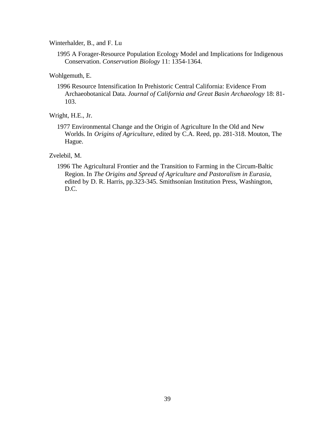Winterhalder, B., and F. Lu

1995 A Forager-Resource Population Ecology Model and Implications for Indigenous Conservation. *Conservation Biology* 11: 1354-1364.

Wohlgemuth, E.

1996 Resource Intensification In Prehistoric Central California: Evidence From Archaeobotanical Data. *Journal of California and Great Basin Archaeology* 18: 81- 103.

Wright, H.E., Jr.

1977 Environmental Change and the Origin of Agriculture In the Old and New Worlds. In *Origins of Agriculture*, edited by C.A. Reed, pp. 281-318. Mouton, The Hague.

Zvelebil, M.

1996 The Agricultural Frontier and the Transition to Farming in the Circum-Baltic Region. In *The Origins and Spread of Agriculture and Pastoralism in Eurasia*, edited by D. R. Harris, pp.323-345. Smithsonian Institution Press, Washington, D.C.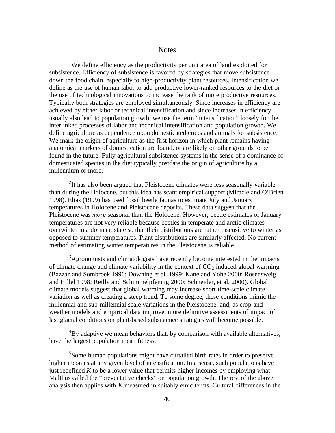# **Notes**

<sup>1</sup>We define efficiency as the productivity per unit area of land exploited for subsistence. Efficiency of subsistence is favored by strategies that move subsistence down the food chain, especially to high-productivity plant resources. Intensification we define as the use of human labor to add productive lower-ranked resources to the diet or the use of technological innovations to increase the rank of more productive resources. Typically both strategies are employed simultaneously. Since increases in efficiency are achieved by either labor or technical intensification and since increases in efficiency usually also lead to population growth, we use the term "intensification" loosely for the interlinked processes of labor and technical intensification and population growth. We define agriculture as dependence upon domesticated crops and animals for subsistence. We mark the origin of agriculture as the first horizon in which plant remains having anatomical markers of domestication are found, or are likely on other grounds to be found in the future. Fully agricultural subsistence systems in the sense of a dominance of domesticated species in the diet typically postdate the origin of agriculture by a millennium or more.

 $2$ It has also been argued that Pleistocene climates were less seasonally variable than during the Holocene, but this idea has scant empirical support (Miracle and O'Brien 1998). Elias (1999) has used fossil beetle faunas to estimate July and January temperatures in Holocene and Pleistocene deposits. These data suggest that the Pleistocene was *more* seasonal than the Holocene. However, beetle estimates of January temperatures are not very reliable because beetles in temperate and arctic climates overwinter in a dormant state so that their distributions are rather insensitive to winter as opposed to summer temperatures. Plant distributions are similarly affected. No current method of estimating winter temperatures in the Pleistocene is reliable.

 $3A$ gronomists and climatologists have recently become interested in the impacts of climate change and climate variability in the context of  $CO<sub>2</sub>$  induced global warming (Bazzaz and Sombroek 1996; Downing et al. 1999; Kane and Yohe 2000; Rosensweig and Hillel 1998; Reilly and Schimmelpfennig 2000; Schneider, et al. 2000). Global climate models suggest that global warming may increase short time-scale climate variation as well as creating a steep trend. To some degree, these conditions mimic the millennial and sub-millennial scale variations in the Pleistocene, and, as crop-andweather models and empirical data improve, more definitive assessments of impact of last glacial conditions on plant-based subsistence strategies will become possible.

<sup>4</sup>By adaptive we mean behaviors that, by comparison with available alternatives, have the largest population mean fitness.

<sup>5</sup>Some human populations might have curtailed birth rates in order to preserve higher incomes at any given level of intensification. In a sense, such populations have just redefined *K* to be a lower value that permits higher incomes by employing what Malthus called the "preventative checks" on population growth. The rest of the above analysis then applies with *K* measured in suitably emic terms. Cultural differences in the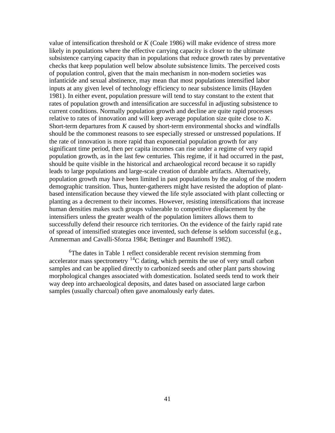value of intensification threshold or *K* (Coale 1986) will make evidence of stress more likely in populations where the effective carrying capacity is closer to the ultimate subsistence carrying capacity than in populations that reduce growth rates by preventative checks that keep population well below absolute subsistence limits. The perceived costs of population control, given that the main mechanism in non-modern societies was infanticide and sexual abstinence, may mean that most populations intensified labor inputs at any given level of technology efficiency to near subsistence limits (Hayden 1981). In either event, population pressure will tend to stay constant to the extent that rates of population growth and intensification are successful in adjusting subsistence to current conditions. Normally population growth and decline are quite rapid processes relative to rates of innovation and will keep average population size quite close to *K*. Short-term departures from *K* caused by short-term environmental shocks and windfalls should be the commonest reasons to see especially stressed or unstressed populations. If the rate of innovation is more rapid than exponential population growth for any significant time period, then per capita incomes can rise under a regime of very rapid population growth, as in the last few centuries. This regime, if it had occurred in the past, should be quite visible in the historical and archaeological record because it so rapidly leads to large populations and large-scale creation of durable artifacts. Alternatively, population growth may have been limited in past populations by the analog of the modern demographic transition. Thus, hunter-gatherers might have resisted the adoption of plantbased intensification because they viewed the life style associated with plant collecting or planting as a decrement to their incomes. However, resisting intensifications that increase human densities makes such groups vulnerable to competitive displacement by the intensifiers unless the greater wealth of the population limiters allows them to successfully defend their resource rich territories. On the evidence of the fairly rapid rate of spread of intensified strategies once invented, such defense is seldom successful (e.g., Ammerman and Cavalli-Sforza 1984; Bettinger and Baumhoff 1982).

<sup>6</sup>The dates in Table 1 reflect considerable recent revision stemming from accelerator mass spectrometry  ${}^{14}C$  dating, which permits the use of very small carbon samples and can be applied directly to carbonized seeds and other plant parts showing morphological changes associated with domestication. Isolated seeds tend to work their way deep into archaeological deposits, and dates based on associated large carbon samples (usually charcoal) often gave anomalously early dates.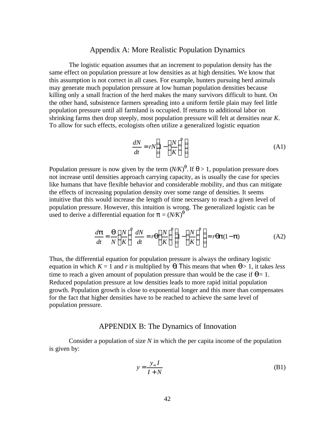# Appendix A: More Realistic Population Dynamics

The logistic equation assumes that an increment to population density has the same effect on population pressure at low densities as at high densities. We know that this assumption is not correct in all cases. For example, hunters pursuing herd animals may generate much population pressure at low human population densities because killing only a small fraction of the herd makes the many survivors difficult to hunt. On the other hand, subsistence farmers spreading into a uniform fertile plain may feel little population pressure until all farmland is occupied. If returns to additional labor on shrinking farms then drop steeply, most population pressure will felt at densities near *K.* To allow for such effects, ecologists often utilize a generalized logistic equation

$$
\frac{dN}{dt} = rN\left(1 - \left(\frac{N}{K}\right)^q\right) \tag{A1}
$$

Population pressure is now given by the term  $(N/K)^{\theta}$ . If  $\theta > 1$ , population pressure does not increase until densities approach carrying capacity, as is usually the case for species like humans that have flexible behavior and considerable mobility, and thus can mitigate the effects of increasing population density over some range of densities. It seems intuitive that this would increase the length of time necessary to reach a given level of population pressure. However, this intuition is wrong. The generalized logistic can be used to derive a differential equation for  $\pi = (N/K)^{\theta}$ 

$$
\frac{d\mathbf{p}}{dt} = \frac{\mathbf{q}}{N} \left( \frac{N}{K} \right)^q \frac{dN}{dt} = r\mathbf{q} \left( \frac{N}{K} \right)^q \left( 1 - \left( \frac{N}{K} \right)^q \right) = r\mathbf{q} \mathbf{p} (1 - \mathbf{p})
$$
\n(A2)

Thus, the differential equation for population pressure is always the ordinary logistic equation in which  $K = 1$  and *r* is multiplied by **q**. This means that when  $q > 1$ , it takes *less* time to reach a given amount of population pressure than would be the case if  $q=1$ . Reduced population pressure at low densities leads to more rapid initial population growth. Population growth is close to exponential longer and this more than compensates for the fact that higher densities have to be reached to achieve the same level of population pressure.

# APPENDIX B: The Dynamics of Innovation

Consider a population of size *N* in which the per capita income of the population is given by:

$$
y = \frac{y_m I}{I + N}
$$
 (B1)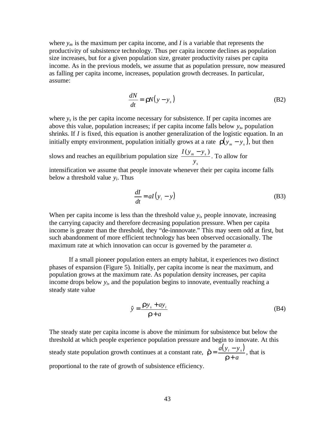where  $y_m$  is the maximum per capita income, and *I* is a variable that represents the productivity of subsistence technology. Thus per capita income declines as population size increases, but for a given population size, greater productivity raises per capita income. As in the previous models, we assume that as population pressure, now measured as falling per capita income, increases, population growth decreases. In particular, assume:

$$
\frac{dN}{dt} = \mathbf{r}N(y - y_s) \tag{B2}
$$

where  $y<sub>s</sub>$  is the per capita income necessary for subsistence. If per capita incomes are above this value, population increases; if per capita income falls below *ys*, population shrinks. If *I* is fixed, this equation is another generalization of the logistic equation. In an initially empty environment, population initially grows at a rate  $\mathbf{r} ( y_m - y_s )$ , but then

slows and reaches an equilibrium population size *s m s y*  $I(y_m - y_s)$ . To allow for

intensification we assume that people innovate whenever their per capita income falls below a threshold value  $y_i$ . Thus

$$
\frac{dI}{dt} = aI(y_i - y) \tag{B3}
$$

When per capita income is less than the threshold value  $y_i$ , people innovate, increasing the carrying capacity and therefore decreasing population pressure. When per capita income is greater than the threshold, they "de-innnovate." This may seem odd at first, but such abandonment of more efficient technology has been observed occasionally. The maximum rate at which innovation can occur is governed by the parameter *a.*

If a small pioneer population enters an empty habitat, it experiences two distinct phases of expansion (Figure 5). Initially, per capita income is near the maximum, and population grows at the maximum rate. As population density increases, per capita income drops below *yi*, and the population begins to innovate, eventually reaching a steady state value

$$
\hat{y} = \frac{\mathbf{r}y_s + ay_i}{\mathbf{r} + a} \tag{B4}
$$

The steady state per capita income is above the minimum for subsistence but below the threshold at which people experience population pressure and begin to innovate. At this steady state population growth continues at a constant rate,  $\hat{\mathbf{r}} = \frac{a(y_i - y_s)}{a}$ *a*  $a(y_i - y_s)$ +  $=\frac{a(y_i - \mathbf{r})}{\mathbf{r}+1}$  $\hat{\mathbf{r}} = \frac{u(y_i - y_s)}{y}$ , that is proportional to the rate of growth of subsistence efficiency.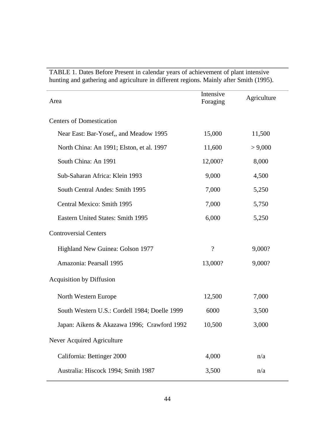| Area                                          | Intensive<br>Foraging    | Agriculture |
|-----------------------------------------------|--------------------------|-------------|
| <b>Centers of Domestication</b>               |                          |             |
| Near East: Bar-Yosef,, and Meadow 1995        | 15,000                   | 11,500      |
| North China: An 1991; Elston, et al. 1997     | 11,600                   | > 9,000     |
| South China: An 1991                          | 12,000?                  | 8,000       |
| Sub-Saharan Africa: Klein 1993                | 9,000                    | 4,500       |
| South Central Andes: Smith 1995               | 7,000                    | 5,250       |
| <b>Central Mexico: Smith 1995</b>             | 7,000                    | 5,750       |
| <b>Eastern United States: Smith 1995</b>      | 6,000                    | 5,250       |
| <b>Controversial Centers</b>                  |                          |             |
| Highland New Guinea: Golson 1977              | $\overline{\mathcal{L}}$ | 9,000?      |
| Amazonia: Pearsall 1995                       | 13,000?                  | 9,000?      |
| <b>Acquisition by Diffusion</b>               |                          |             |
| North Western Europe                          | 12,500                   | 7,000       |
| South Western U.S.: Cordell 1984; Doelle 1999 | 6000                     | 3,500       |
| Japan: Aikens & Akazawa 1996; Crawford 1992   | 10,500                   | 3,000       |
| Never Acquired Agriculture                    |                          |             |
| California: Bettinger 2000                    | 4,000                    | n/a         |
| Australia: Hiscock 1994; Smith 1987           | 3,500                    | n/a         |

TABLE 1. Dates Before Present in calendar years of achievement of plant intensive hunting and gathering and agriculture in different regions. Mainly after Smith (1995).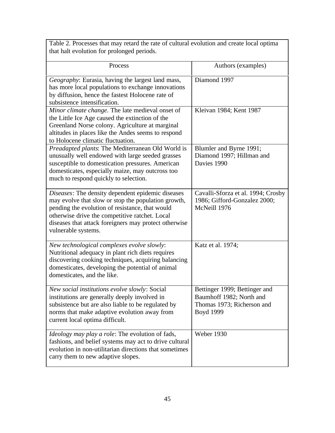Table 2. Processes that may retard the rate of cultural evolution and create local optima that halt evolution for prolonged periods.

| Process                                                                                                                                                                                                                                                                                       | Authors (examples)                                                                                   |  |
|-----------------------------------------------------------------------------------------------------------------------------------------------------------------------------------------------------------------------------------------------------------------------------------------------|------------------------------------------------------------------------------------------------------|--|
|                                                                                                                                                                                                                                                                                               |                                                                                                      |  |
| Geography: Eurasia, having the largest land mass,<br>has more local populations to exchange innovations<br>by diffusion, hence the fastest Holocene rate of<br>subsistence intensification.                                                                                                   | Diamond 1997                                                                                         |  |
| Minor climate change. The late medieval onset of<br>the Little Ice Age caused the extinction of the<br>Greenland Norse colony. Agriculture at marginal<br>altitudes in places like the Andes seems to respond<br>to Holocene climatic fluctuation.                                            | Kleivan 1984; Kent 1987                                                                              |  |
| <i>Preadapted plants:</i> The Mediterranean Old World is<br>unusually well endowed with large seeded grasses<br>susceptible to domestication pressures. American<br>domesticates, especially maize, may outcross too<br>much to respond quickly to selection.                                 | Blumler and Byrne 1991;<br>Diamond 1997; Hillman and<br>Davies 1990                                  |  |
| Diseases: The density dependent epidemic diseases<br>may evolve that slow or stop the population growth,<br>pending the evolution of resistance, that would<br>otherwise drive the competitive ratchet. Local<br>diseases that attack foreigners may protect otherwise<br>vulnerable systems. | Cavalli-Sforza et al. 1994; Crosby<br>1986; Gifford-Gonzalez 2000;<br>McNeill 1976                   |  |
| New technological complexes evolve slowly:<br>Nutritional adequacy in plant rich diets requires<br>discovering cooking techniques, acquiring balancing<br>domesticates, developing the potential of animal<br>domesticates, and the like.                                                     | Katz et al. 1974;                                                                                    |  |
| New social institutions evolve slowly: Social<br>institutions are generally deeply involved in<br>subsistence but are also liable to be regulated by<br>norms that make adaptive evolution away from<br>current local optima difficult.                                                       | Bettinger 1999; Bettinger and<br>Baumhoff 1982; North and<br>Thomas 1973; Richerson and<br>Boyd 1999 |  |
| Ideology may play a role: The evolution of fads,<br>fashions, and belief systems may act to drive cultural<br>evolution in non-utilitarian directions that sometimes<br>carry them to new adaptive slopes.                                                                                    | <b>Weber 1930</b>                                                                                    |  |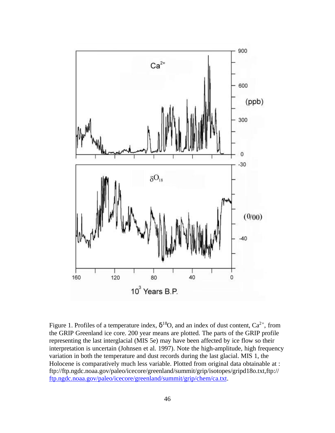

Figure 1. Profiles of a temperature index,  $\delta^{18}O$ , and an index of dust content,  $Ca^{2+}$ , from the GRIP Greenland ice core. 200 year means are plotted. The parts of the GRIP profile representing the last interglacial (MIS 5e) may have been affected by ice flow so their interpretation is uncertain (Johnsen et al. 1997). Note the high-amplitude, high frequency variation in both the temperature and dust records during the last glacial. MIS 1, the Holocene is comparatively much less variable. Plotted from original data obtainable at : ftp://ftp.ngdc.noaa.gov/paleo/icecore/greenland/summit/grip/isotopes/gripd18o.txt,ftp:// ftp.ngdc.noaa.gov/paleo/icecore/greenland/summit/grip/chem/ca.txt.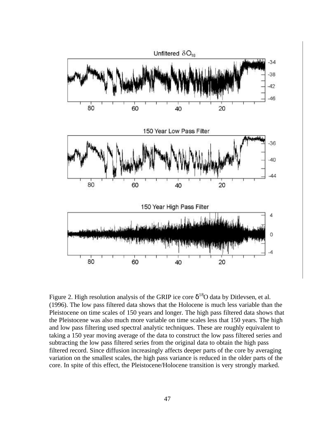

Figure 2. High resolution analysis of the GRIP ice core  $\delta^{18}O$  data by Ditlevsen, et al. (1996). The low pass filtered data shows that the Holocene is much less variable than the Pleistocene on time scales of 150 years and longer. The high pass filtered data shows that the Pleistocene was also much more variable on time scales less that 150 years. The high and low pass filtering used spectral analytic techniques. These are roughly equivalent to taking a 150 year moving average of the data to construct the low pass filtered series and subtracting the low pass filtered series from the original data to obtain the high pass filtered record. Since diffusion increasingly affects deeper parts of the core by averaging variation on the smallest scales, the high pass variance is reduced in the older parts of the core. In spite of this effect, the Pleistocene/Holocene transition is very strongly marked.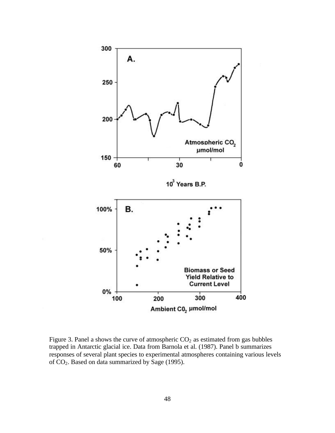

Figure 3. Panel a shows the curve of atmospheric  $CO<sub>2</sub>$  as estimated from gas bubbles trapped in Antarctic glacial ice. Data from Barnola et al. (1987). Panel b summarizes responses of several plant species to experimental atmospheres containing various levels of CO2. Based on data summarized by Sage (1995).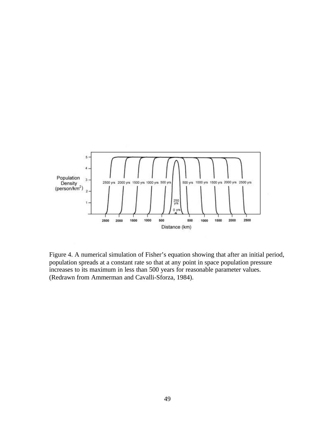

Figure 4. A numerical simulation of Fisher's equation showing that after an initial period, population spreads at a constant rate so that at any point in space population pressure increases to its maximum in less than 500 years for reasonable parameter values. (Redrawn from Ammerman and Cavalli-Sforza, 1984).